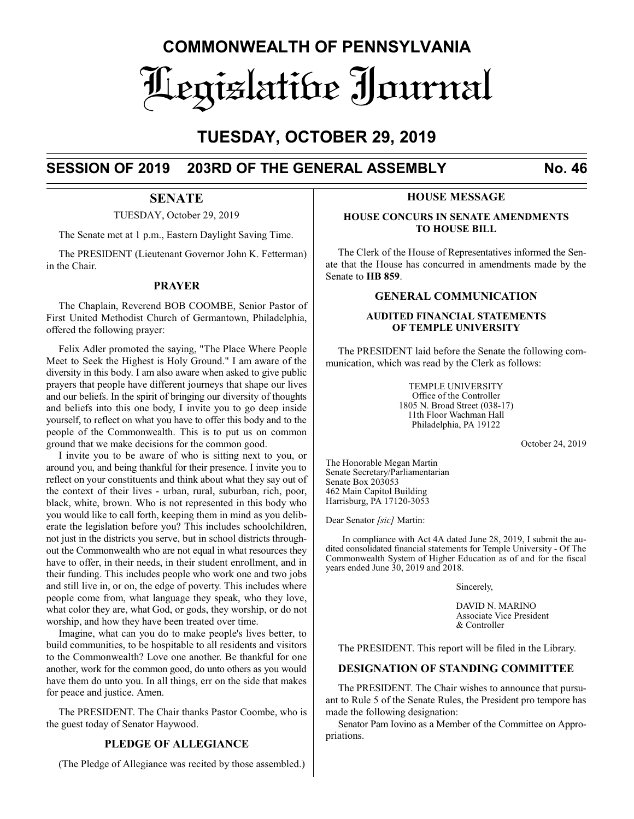# **COMMONWEALTH OF PENNSYLVANIA** Legislative Journal

# **TUESDAY, OCTOBER 29, 2019**

# **SESSION OF 2019 203RD OF THE GENERAL ASSEMBLY No. 46**

# **SENATE**

TUESDAY, October 29, 2019

The Senate met at 1 p.m., Eastern Daylight Saving Time.

The PRESIDENT (Lieutenant Governor John K. Fetterman) in the Chair.

# **PRAYER**

The Chaplain, Reverend BOB COOMBE, Senior Pastor of First United Methodist Church of Germantown, Philadelphia, offered the following prayer:

Felix Adler promoted the saying, "The Place Where People Meet to Seek the Highest is Holy Ground." I am aware of the diversity in this body. I am also aware when asked to give public prayers that people have different journeys that shape our lives and our beliefs. In the spirit of bringing our diversity of thoughts and beliefs into this one body, I invite you to go deep inside yourself, to reflect on what you have to offer this body and to the people of the Commonwealth. This is to put us on common ground that we make decisions for the common good.

I invite you to be aware of who is sitting next to you, or around you, and being thankful for their presence. I invite you to reflect on your constituents and think about what they say out of the context of their lives - urban, rural, suburban, rich, poor, black, white, brown. Who is not represented in this body who you would like to call forth, keeping them in mind as you deliberate the legislation before you? This includes schoolchildren, not just in the districts you serve, but in school districts throughout the Commonwealth who are not equal in what resources they have to offer, in their needs, in their student enrollment, and in their funding. This includes people who work one and two jobs and still live in, or on, the edge of poverty. This includes where people come from, what language they speak, who they love, what color they are, what God, or gods, they worship, or do not worship, and how they have been treated over time.

Imagine, what can you do to make people's lives better, to build communities, to be hospitable to all residents and visitors to the Commonwealth? Love one another. Be thankful for one another, work for the common good, do unto others as you would have them do unto you. In all things, err on the side that makes for peace and justice. Amen.

The PRESIDENT. The Chair thanks Pastor Coombe, who is the guest today of Senator Haywood.

# **PLEDGE OF ALLEGIANCE**

(The Pledge of Allegiance was recited by those assembled.)

# **HOUSE MESSAGE**

# **HOUSE CONCURS IN SENATE AMENDMENTS TO HOUSE BILL**

The Clerk of the House of Representatives informed the Senate that the House has concurred in amendments made by the Senate to **HB 859**.

# **GENERAL COMMUNICATION**

# **AUDITED FINANCIAL STATEMENTS OF TEMPLE UNIVERSITY**

The PRESIDENT laid before the Senate the following communication, which was read by the Clerk as follows:

> TEMPLE UNIVERSITY Office of the Controller 1805 N. Broad Street (038-17) 11th Floor Wachman Hall Philadelphia, PA 19122

> > October 24, 2019

The Honorable Megan Martin Senate Secretary/Parliamentarian Senate Box 203053 462 Main Capitol Building Harrisburg, PA 17120-3053

Dear Senator *[sic]* Martin:

In compliance with Act 4A dated June 28, 2019, I submit the audited consolidated financial statements for Temple University - Of The Commonwealth System of Higher Education as of and for the fiscal years ended June 30, 2019 and 2018.

Sincerely,

DAVID N. MARINO Associate Vice President & Controller

The PRESIDENT. This report will be filed in the Library.

# **DESIGNATION OF STANDING COMMITTEE**

The PRESIDENT. The Chair wishes to announce that pursuant to Rule 5 of the Senate Rules, the President pro tempore has made the following designation:

Senator Pam Iovino as a Member of the Committee on Appropriations.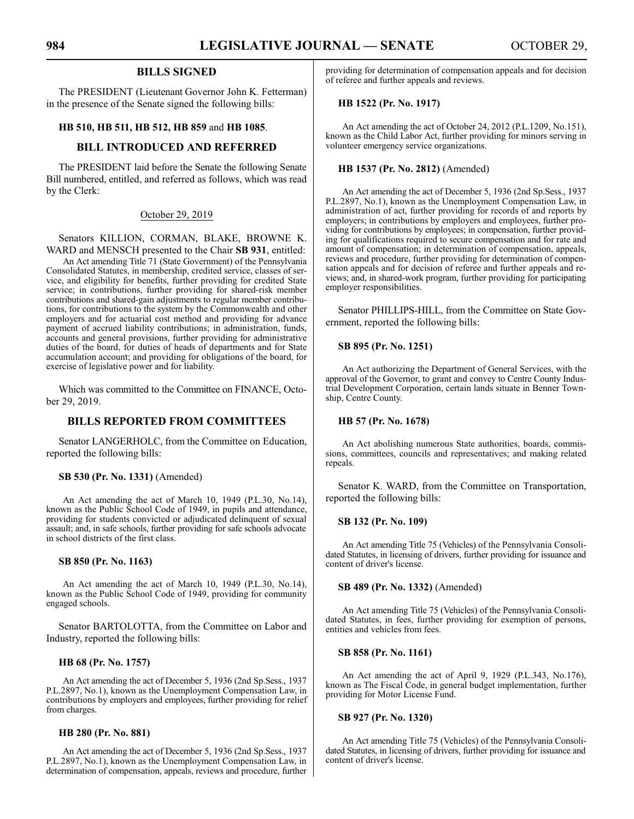The PRESIDENT (Lieutenant Governor John K. Fetterman) in the presence of the Senate signed the following bills:

#### **HB 510, HB 511, HB 512, HB 859** and **HB 1085**.

# **BILL INTRODUCED AND REFERRED**

The PRESIDENT laid before the Senate the following Senate Bill numbered, entitled, and referred as follows, which was read by the Clerk:

#### October 29, 2019

Senators KILLION, CORMAN, BLAKE, BROWNE K. WARD and MENSCH presented to the Chair **SB 931**, entitled:

An Act amending Title 71 (State Government) of the Pennsylvania Consolidated Statutes, in membership, credited service, classes of service, and eligibility for benefits, further providing for credited State service; in contributions, further providing for shared-risk member contributions and shared-gain adjustments to regular member contributions, for contributions to the system by the Commonwealth and other employers and for actuarial cost method and providing for advance payment of accrued liability contributions; in administration, funds, accounts and general provisions, further providing for administrative duties of the board, for duties of heads of departments and for State accumulation account; and providing for obligations of the board, for exercise of legislative power and for liability.

Which was committed to the Committee on FINANCE, October 29, 2019.

# **BILLS REPORTED FROM COMMITTEES**

Senator LANGERHOLC, from the Committee on Education, reported the following bills:

#### **SB 530 (Pr. No. 1331)** (Amended)

An Act amending the act of March 10, 1949 (P.L.30, No.14), known as the Public School Code of 1949, in pupils and attendance, providing for students convicted or adjudicated delinquent of sexual assault; and, in safe schools, further providing for safe schools advocate in school districts of the first class.

# **SB 850 (Pr. No. 1163)**

An Act amending the act of March 10, 1949 (P.L.30, No.14), known as the Public School Code of 1949, providing for community engaged schools.

Senator BARTOLOTTA, from the Committee on Labor and Industry, reported the following bills:

#### **HB 68 (Pr. No. 1757)**

An Act amending the act of December 5, 1936 (2nd Sp.Sess., 1937 P.L.2897, No.1), known as the Unemployment Compensation Law, in contributions by employers and employees, further providing for relief from charges.

# **HB 280 (Pr. No. 881)**

An Act amending the act of December 5, 1936 (2nd Sp.Sess., 1937 P.L.2897, No.1), known as the Unemployment Compensation Law, in determination of compensation, appeals, reviews and procedure, further providing for determination of compensation appeals and for decision of referee and further appeals and reviews.

#### **HB 1522 (Pr. No. 1917)**

An Act amending the act of October 24, 2012 (P.L.1209, No.151), known as the Child Labor Act, further providing for minors serving in volunteer emergency service organizations.

#### **HB 1537 (Pr. No. 2812)** (Amended)

An Act amending the act of December 5, 1936 (2nd Sp.Sess., 1937 P.L.2897, No.1), known as the Unemployment Compensation Law, in administration of act, further providing for records of and reports by employers; in contributions by employers and employees, further providing for contributions by employees; in compensation, further providing for qualifications required to secure compensation and for rate and amount of compensation; in determination of compensation, appeals, reviews and procedure, further providing for determination of compensation appeals and for decision of referee and further appeals and reviews; and, in shared-work program, further providing for participating employer responsibilities.

Senator PHILLIPS-HILL, from the Committee on State Government, reported the following bills:

#### **SB 895 (Pr. No. 1251)**

An Act authorizing the Department of General Services, with the approval of the Governor, to grant and convey to Centre County Industrial Development Corporation, certain lands situate in Benner Township, Centre County.

#### **HB 57 (Pr. No. 1678)**

An Act abolishing numerous State authorities, boards, commissions, committees, councils and representatives; and making related repeals.

Senator K. WARD, from the Committee on Transportation, reported the following bills:

#### **SB 132 (Pr. No. 109)**

An Act amending Title 75 (Vehicles) of the Pennsylvania Consolidated Statutes, in licensing of drivers, further providing for issuance and content of driver's license.

#### **SB 489 (Pr. No. 1332)** (Amended)

An Act amending Title 75 (Vehicles) of the Pennsylvania Consolidated Statutes, in fees, further providing for exemption of persons, entities and vehicles from fees.

#### **SB 858 (Pr. No. 1161)**

An Act amending the act of April 9, 1929 (P.L.343, No.176), known as The Fiscal Code, in general budget implementation, further providing for Motor License Fund.

#### **SB 927 (Pr. No. 1320)**

An Act amending Title 75 (Vehicles) of the Pennsylvania Consolidated Statutes, in licensing of drivers, further providing for issuance and content of driver's license.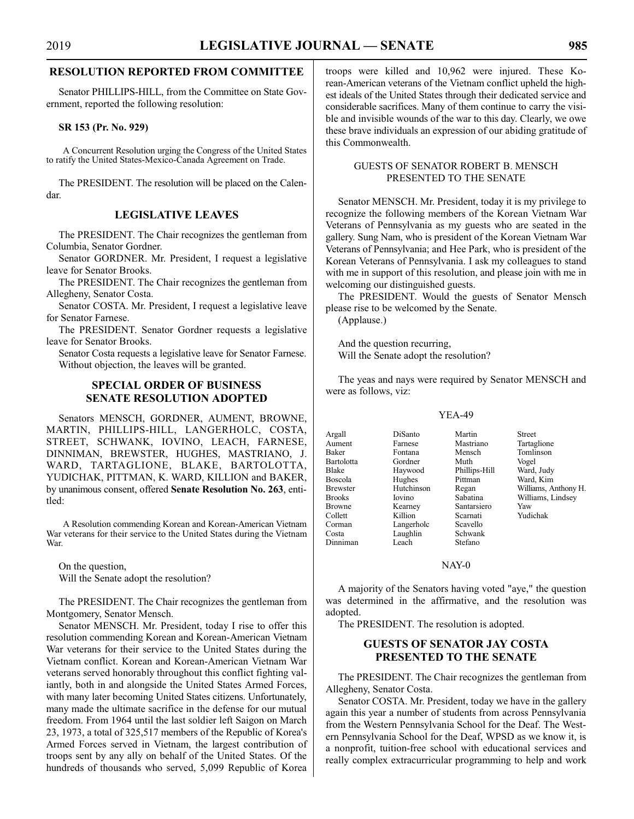# **RESOLUTION REPORTED FROM COMMITTEE**

Senator PHILLIPS-HILL, from the Committee on State Government, reported the following resolution:

#### **SR 153 (Pr. No. 929)**

A Concurrent Resolution urging the Congress of the United States to ratify the United States-Mexico-Canada Agreement on Trade.

The PRESIDENT. The resolution will be placed on the Calendar.

# **LEGISLATIVE LEAVES**

The PRESIDENT. The Chair recognizes the gentleman from Columbia, Senator Gordner.

Senator GORDNER. Mr. President, I request a legislative leave for Senator Brooks.

The PRESIDENT. The Chair recognizes the gentleman from Allegheny, Senator Costa.

Senator COSTA. Mr. President, I request a legislative leave for Senator Farnese.

The PRESIDENT. Senator Gordner requests a legislative leave for Senator Brooks.

Senator Costa requests a legislative leave for Senator Farnese. Without objection, the leaves will be granted.

# **SPECIAL ORDER OF BUSINESS SENATE RESOLUTION ADOPTED**

Senators MENSCH, GORDNER, AUMENT, BROWNE, MARTIN, PHILLIPS-HILL, LANGERHOLC, COSTA, STREET, SCHWANK, IOVINO, LEACH, FARNESE, DINNIMAN, BREWSTER, HUGHES, MASTRIANO, J. WARD, TARTAGLIONE, BLAKE, BARTOLOTTA, YUDICHAK, PITTMAN, K. WARD, KILLION and BAKER, by unanimous consent, offered **Senate Resolution No. 263**, entitled:

A Resolution commending Korean and Korean-American Vietnam War veterans for their service to the United States during the Vietnam War.

On the question, Will the Senate adopt the resolution?

The PRESIDENT. The Chair recognizes the gentleman from Montgomery, Senator Mensch.

Senator MENSCH. Mr. President, today I rise to offer this resolution commending Korean and Korean-American Vietnam War veterans for their service to the United States during the Vietnam conflict. Korean and Korean-American Vietnam War veterans served honorably throughout this conflict fighting valiantly, both in and alongside the United States Armed Forces, with many later becoming United States citizens. Unfortunately, many made the ultimate sacrifice in the defense for our mutual freedom. From 1964 until the last soldier left Saigon on March 23, 1973, a total of 325,517 members of the Republic of Korea's Armed Forces served in Vietnam, the largest contribution of troops sent by any ally on behalf of the United States. Of the hundreds of thousands who served, 5,099 Republic of Korea troops were killed and 10,962 were injured. These Korean-American veterans of the Vietnam conflict upheld the highest ideals of the United States through their dedicated service and considerable sacrifices. Many of them continue to carry the visible and invisible wounds of the war to this day. Clearly, we owe these brave individuals an expression of our abiding gratitude of this Commonwealth.

#### GUESTS OF SENATOR ROBERT B. MENSCH PRESENTED TO THE SENATE

Senator MENSCH. Mr. President, today it is my privilege to recognize the following members of the Korean Vietnam War Veterans of Pennsylvania as my guests who are seated in the gallery. Sung Nam, who is president of the Korean Vietnam War Veterans of Pennsylvania; and Hee Park, who is president of the Korean Veterans of Pennsylvania. I ask my colleagues to stand with me in support of this resolution, and please join with me in welcoming our distinguished guests.

The PRESIDENT. Would the guests of Senator Mensch please rise to be welcomed by the Senate.

(Applause.)

And the question recurring, Will the Senate adopt the resolution?

The yeas and nays were required by Senator MENSCH and were as follows, viz:

#### YEA-49

| Argall            | DiSanto    | Martin        | <b>Street</b>        |
|-------------------|------------|---------------|----------------------|
| Aument            | Farnese    | Mastriano     | Tartaglione          |
| Baker             | Fontana    | Mensch        | Tomlinson            |
| <b>Bartolotta</b> | Gordner    | Muth          | Vogel                |
| Blake             | Haywood    | Phillips-Hill | Ward, Judy           |
| <b>Boscola</b>    | Hughes     | Pittman       | Ward, Kim            |
| <b>Brewster</b>   | Hutchinson | Regan         | Williams, Anthony H. |
| <b>Brooks</b>     | Iovino     | Sabatina      | Williams, Lindsey    |
| <b>Browne</b>     | Kearney    | Santarsiero   | Yaw                  |
| Collett           | Killion    | Scarnati      | Yudichak             |
| Corman            | Langerholc | Scavello      |                      |
| Costa             | Laughlin   | Schwank       |                      |
| Dinniman          | Leach      | Stefano       |                      |

#### NAY-0

A majority of the Senators having voted "aye," the question was determined in the affirmative, and the resolution was adopted.

The PRESIDENT. The resolution is adopted.

# **GUESTS OF SENATOR JAY COSTA PRESENTED TO THE SENATE**

The PRESIDENT. The Chair recognizes the gentleman from Allegheny, Senator Costa.

Senator COSTA. Mr. President, today we have in the gallery again this year a number of students from across Pennsylvania from the Western Pennsylvania School for the Deaf. The Western Pennsylvania School for the Deaf, WPSD as we know it, is a nonprofit, tuition-free school with educational services and really complex extracurricular programming to help and work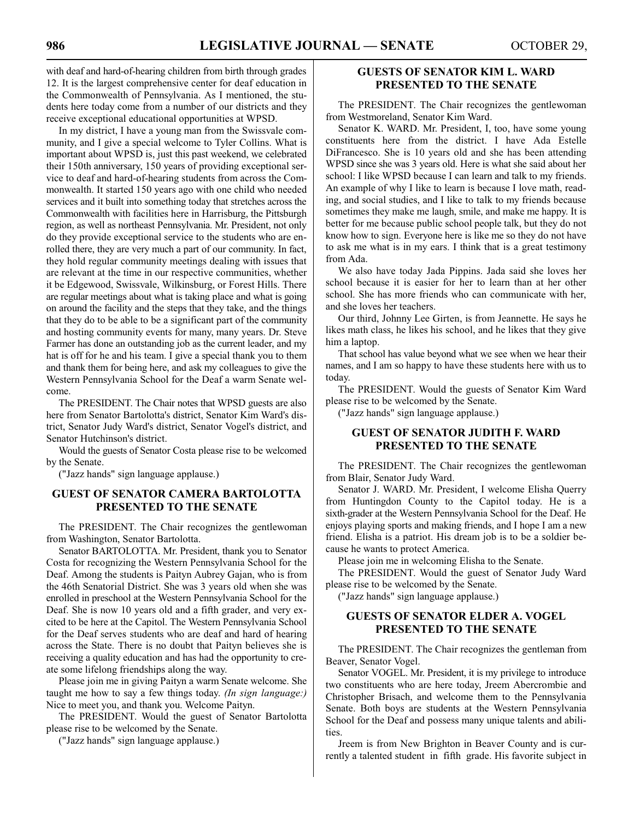with deaf and hard-of-hearing children from birth through grades 12. It is the largest comprehensive center for deaf education in the Commonwealth of Pennsylvania. As I mentioned, the students here today come from a number of our districts and they receive exceptional educational opportunities at WPSD.

In my district, I have a young man from the Swissvale community, and I give a special welcome to Tyler Collins. What is important about WPSD is, just this past weekend, we celebrated their 150th anniversary, 150 years of providing exceptional service to deaf and hard-of-hearing students from across the Commonwealth. It started 150 years ago with one child who needed services and it built into something today that stretches across the Commonwealth with facilities here in Harrisburg, the Pittsburgh region, as well as northeast Pennsylvania. Mr. President, not only do they provide exceptional service to the students who are enrolled there, they are very much a part of our community. In fact, they hold regular community meetings dealing with issues that are relevant at the time in our respective communities, whether it be Edgewood, Swissvale, Wilkinsburg, or Forest Hills. There are regular meetings about what is taking place and what is going on around the facility and the steps that they take, and the things that they do to be able to be a significant part of the community and hosting community events for many, many years. Dr. Steve Farmer has done an outstanding job as the current leader, and my hat is off for he and his team. I give a special thank you to them and thank them for being here, and ask my colleagues to give the Western Pennsylvania School for the Deaf a warm Senate welcome.

The PRESIDENT. The Chair notes that WPSD guests are also here from Senator Bartolotta's district, Senator Kim Ward's district, Senator Judy Ward's district, Senator Vogel's district, and Senator Hutchinson's district.

Would the guests of Senator Costa please rise to be welcomed by the Senate.

("Jazz hands" sign language applause.)

# **GUEST OF SENATOR CAMERA BARTOLOTTA PRESENTED TO THE SENATE**

The PRESIDENT. The Chair recognizes the gentlewoman from Washington, Senator Bartolotta.

Senator BARTOLOTTA. Mr. President, thank you to Senator Costa for recognizing the Western Pennsylvania School for the Deaf. Among the students is Paityn Aubrey Gajan, who is from the 46th Senatorial District. She was 3 years old when she was enrolled in preschool at the Western Pennsylvania School for the Deaf. She is now 10 years old and a fifth grader, and very excited to be here at the Capitol. The Western Pennsylvania School for the Deaf serves students who are deaf and hard of hearing across the State. There is no doubt that Paityn believes she is receiving a quality education and has had the opportunity to create some lifelong friendships along the way.

Please join me in giving Paityn a warm Senate welcome. She taught me how to say a few things today. *(In sign language:)* Nice to meet you, and thank you. Welcome Paityn.

The PRESIDENT. Would the guest of Senator Bartolotta please rise to be welcomed by the Senate.

("Jazz hands" sign language applause.)

# **GUESTS OF SENATOR KIM L. WARD PRESENTED TO THE SENATE**

The PRESIDENT. The Chair recognizes the gentlewoman from Westmoreland, Senator Kim Ward.

Senator K. WARD. Mr. President, I, too, have some young constituents here from the district. I have Ada Estelle DiFrancesco. She is 10 years old and she has been attending WPSD since she was 3 years old. Here is what she said about her school: I like WPSD because I can learn and talk to my friends. An example of why I like to learn is because I love math, reading, and social studies, and I like to talk to my friends because sometimes they make me laugh, smile, and make me happy. It is better for me because public school people talk, but they do not know how to sign. Everyone here is like me so they do not have to ask me what is in my ears. I think that is a great testimony from Ada.

We also have today Jada Pippins. Jada said she loves her school because it is easier for her to learn than at her other school. She has more friends who can communicate with her, and she loves her teachers.

Our third, Johnny Lee Girten, is from Jeannette. He says he likes math class, he likes his school, and he likes that they give him a laptop.

That school has value beyond what we see when we hear their names, and I am so happy to have these students here with us to today.

The PRESIDENT. Would the guests of Senator Kim Ward please rise to be welcomed by the Senate.

("Jazz hands" sign language applause.)

# **GUEST OF SENATOR JUDITH F. WARD PRESENTED TO THE SENATE**

The PRESIDENT. The Chair recognizes the gentlewoman from Blair, Senator Judy Ward.

Senator J. WARD. Mr. President, I welcome Elisha Querry from Huntingdon County to the Capitol today. He is a sixth-grader at the Western Pennsylvania School for the Deaf. He enjoys playing sports and making friends, and I hope I am a new friend. Elisha is a patriot. His dream job is to be a soldier because he wants to protect America.

Please join me in welcoming Elisha to the Senate.

The PRESIDENT. Would the guest of Senator Judy Ward please rise to be welcomed by the Senate.

("Jazz hands" sign language applause.)

# **GUESTS OF SENATOR ELDER A. VOGEL PRESENTED TO THE SENATE**

The PRESIDENT. The Chair recognizes the gentleman from Beaver, Senator Vogel.

Senator VOGEL. Mr. President, it is my privilege to introduce two constituents who are here today, Jreem Abercrombie and Christopher Brisach, and welcome them to the Pennsylvania Senate. Both boys are students at the Western Pennsylvania School for the Deaf and possess many unique talents and abilities.

Jreem is from New Brighton in Beaver County and is currently a talented student in fifth grade. His favorite subject in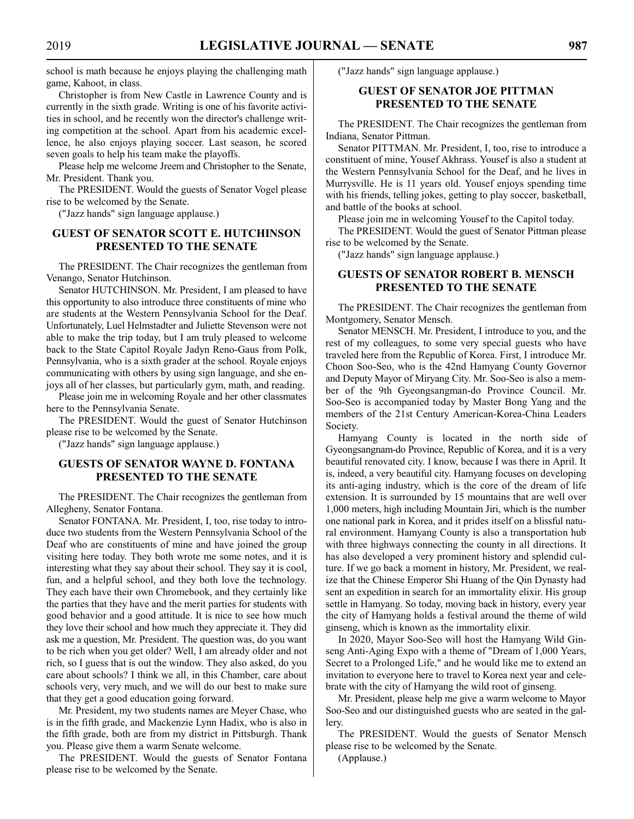school is math because he enjoys playing the challenging math game, Kahoot, in class.

Christopher is from New Castle in Lawrence County and is currently in the sixth grade. Writing is one of his favorite activities in school, and he recently won the director's challenge writing competition at the school. Apart from his academic excellence, he also enjoys playing soccer. Last season, he scored seven goals to help his team make the playoffs.

Please help me welcome Jreem and Christopher to the Senate, Mr. President. Thank you.

The PRESIDENT. Would the guests of Senator Vogel please rise to be welcomed by the Senate.

("Jazz hands" sign language applause.)

# **GUEST OF SENATOR SCOTT E. HUTCHINSON PRESENTED TO THE SENATE**

The PRESIDENT. The Chair recognizes the gentleman from Venango, Senator Hutchinson.

Senator HUTCHINSON. Mr. President, I am pleased to have this opportunity to also introduce three constituents of mine who are students at the Western Pennsylvania School for the Deaf. Unfortunately, Luel Helmstadter and Juliette Stevenson were not able to make the trip today, but I am truly pleased to welcome back to the State Capitol Royale Jadyn Reno-Gaus from Polk, Pennsylvania, who is a sixth grader at the school. Royale enjoys communicating with others by using sign language, and she enjoys all of her classes, but particularly gym, math, and reading.

Please join me in welcoming Royale and her other classmates here to the Pennsylvania Senate.

The PRESIDENT. Would the guest of Senator Hutchinson please rise to be welcomed by the Senate.

("Jazz hands" sign language applause.)

# **GUESTS OF SENATOR WAYNE D. FONTANA PRESENTED TO THE SENATE**

The PRESIDENT. The Chair recognizes the gentleman from Allegheny, Senator Fontana.

Senator FONTANA. Mr. President, I, too, rise today to introduce two students from the Western Pennsylvania School of the Deaf who are constituents of mine and have joined the group visiting here today. They both wrote me some notes, and it is interesting what they say about their school. They say it is cool, fun, and a helpful school, and they both love the technology. They each have their own Chromebook, and they certainly like the parties that they have and the merit parties for students with good behavior and a good attitude. It is nice to see how much they love their school and how much they appreciate it. They did ask me a question, Mr. President. The question was, do you want to be rich when you get older? Well, I am already older and not rich, so I guess that is out the window. They also asked, do you care about schools? I think we all, in this Chamber, care about schools very, very much, and we will do our best to make sure that they get a good education going forward.

Mr. President, my two students names are Meyer Chase, who is in the fifth grade, and Mackenzie Lynn Hadix, who is also in the fifth grade, both are from my district in Pittsburgh. Thank you. Please give them a warm Senate welcome.

The PRESIDENT. Would the guests of Senator Fontana please rise to be welcomed by the Senate.

("Jazz hands" sign language applause.)

# **GUEST OF SENATOR JOE PITTMAN PRESENTED TO THE SENATE**

The PRESIDENT. The Chair recognizes the gentleman from Indiana, Senator Pittman.

Senator PITTMAN. Mr. President, I, too, rise to introduce a constituent of mine, Yousef Akhrass. Yousef is also a student at the Western Pennsylvania School for the Deaf, and he lives in Murrysville. He is 11 years old. Yousef enjoys spending time with his friends, telling jokes, getting to play soccer, basketball, and battle of the books at school.

Please join me in welcoming Yousef to the Capitol today. The PRESIDENT. Would the guest of Senator Pittman please rise to be welcomed by the Senate.

("Jazz hands" sign language applause.)

# **GUESTS OF SENATOR ROBERT B. MENSCH PRESENTED TO THE SENATE**

The PRESIDENT. The Chair recognizes the gentleman from Montgomery, Senator Mensch.

Senator MENSCH. Mr. President, I introduce to you, and the rest of my colleagues, to some very special guests who have traveled here from the Republic of Korea. First, I introduce Mr. Choon Soo-Seo, who is the 42nd Hamyang County Governor and Deputy Mayor of Miryang City. Mr. Soo-Seo is also a member of the 9th Gyeongsangman-do Province Council. Mr. Soo-Seo is accompanied today by Master Bong Yang and the members of the 21st Century American-Korea-China Leaders Society.

Hamyang County is located in the north side of Gyeongsangnam-do Province, Republic of Korea, and it is a very beautiful renovated city. I know, because I was there in April. It is, indeed, a very beautiful city. Hamyang focuses on developing its anti-aging industry, which is the core of the dream of life extension. It is surrounded by 15 mountains that are well over 1,000 meters, high including Mountain Jiri, which is the number one national park in Korea, and it prides itself on a blissful natural environment. Hamyang County is also a transportation hub with three highways connecting the county in all directions. It has also developed a very prominent history and splendid culture. If we go back a moment in history, Mr. President, we realize that the Chinese Emperor Shi Huang of the Qin Dynasty had sent an expedition in search for an immortality elixir. His group settle in Hamyang. So today, moving back in history, every year the city of Hamyang holds a festival around the theme of wild ginseng, which is known as the immortality elixir.

In 2020, Mayor Soo-Seo will host the Hamyang Wild Ginseng Anti-Aging Expo with a theme of "Dream of 1,000 Years, Secret to a Prolonged Life," and he would like me to extend an invitation to everyone here to travel to Korea next year and celebrate with the city of Hamyang the wild root of ginseng.

Mr. President, please help me give a warm welcome to Mayor Soo-Seo and our distinguished guests who are seated in the gallery.

The PRESIDENT. Would the guests of Senator Mensch please rise to be welcomed by the Senate.

(Applause.)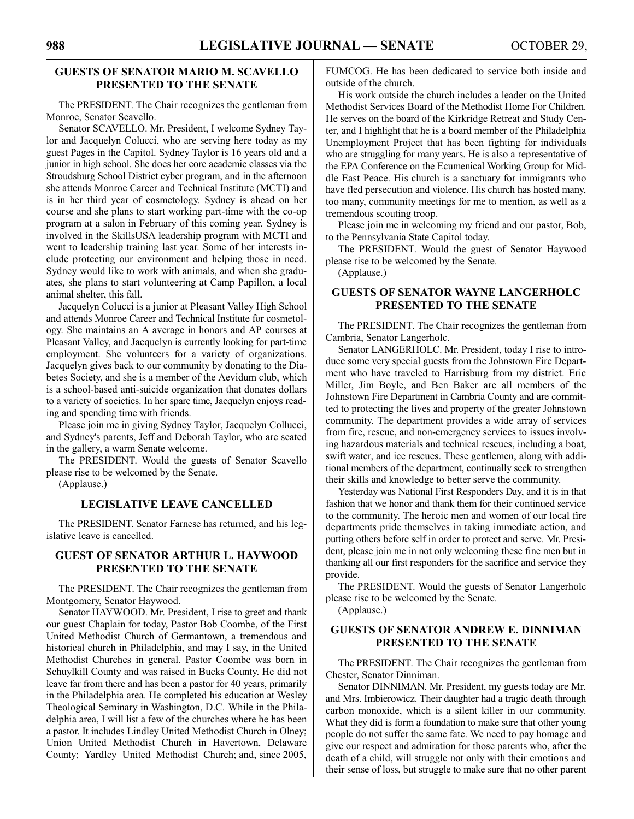# **GUESTS OF SENATOR MARIO M. SCAVELLO PRESENTED TO THE SENATE**

The PRESIDENT. The Chair recognizes the gentleman from Monroe, Senator Scavello.

Senator SCAVELLO. Mr. President, I welcome Sydney Taylor and Jacquelyn Colucci, who are serving here today as my guest Pages in the Capitol. Sydney Taylor is 16 years old and a junior in high school. She does her core academic classes via the Stroudsburg School District cyber program, and in the afternoon she attends Monroe Career and Technical Institute (MCTI) and is in her third year of cosmetology. Sydney is ahead on her course and she plans to start working part-time with the co-op program at a salon in February of this coming year. Sydney is involved in the SkillsUSA leadership program with MCTI and went to leadership training last year. Some of her interests include protecting our environment and helping those in need. Sydney would like to work with animals, and when she graduates, she plans to start volunteering at Camp Papillon, a local animal shelter, this fall.

Jacquelyn Colucci is a junior at Pleasant Valley High School and attends Monroe Career and Technical Institute for cosmetology. She maintains an A average in honors and AP courses at Pleasant Valley, and Jacquelyn is currently looking for part-time employment. She volunteers for a variety of organizations. Jacquelyn gives back to our community by donating to the Diabetes Society, and she is a member of the Aevidum club, which is a school-based anti-suicide organization that donates dollars to a variety of societies. In her spare time, Jacquelyn enjoys reading and spending time with friends.

Please join me in giving Sydney Taylor, Jacquelyn Collucci, and Sydney's parents, Jeff and Deborah Taylor, who are seated in the gallery, a warm Senate welcome.

The PRESIDENT. Would the guests of Senator Scavello please rise to be welcomed by the Senate.

(Applause.)

#### **LEGISLATIVE LEAVE CANCELLED**

The PRESIDENT. Senator Farnese has returned, and his legislative leave is cancelled.

# **GUEST OF SENATOR ARTHUR L. HAYWOOD PRESENTED TO THE SENATE**

The PRESIDENT. The Chair recognizes the gentleman from Montgomery, Senator Haywood.

Senator HAYWOOD. Mr. President, I rise to greet and thank our guest Chaplain for today, Pastor Bob Coombe, of the First United Methodist Church of Germantown, a tremendous and historical church in Philadelphia, and may I say, in the United Methodist Churches in general. Pastor Coombe was born in Schuylkill County and was raised in Bucks County. He did not leave far from there and has been a pastor for 40 years, primarily in the Philadelphia area. He completed his education at Wesley Theological Seminary in Washington, D.C. While in the Philadelphia area, I will list a few of the churches where he has been a pastor. It includes Lindley United Methodist Church in Olney; Union United Methodist Church in Havertown, Delaware County; Yardley United Methodist Church; and, since 2005,

FUMCOG. He has been dedicated to service both inside and outside of the church.

His work outside the church includes a leader on the United Methodist Services Board of the Methodist Home For Children. He serves on the board of the Kirkridge Retreat and Study Center, and I highlight that he is a board member of the Philadelphia Unemployment Project that has been fighting for individuals who are struggling for many years. He is also a representative of the EPA Conference on the Ecumenical Working Group for Middle East Peace. His church is a sanctuary for immigrants who have fled persecution and violence. His church has hosted many, too many, community meetings for me to mention, as well as a tremendous scouting troop.

Please join me in welcoming my friend and our pastor, Bob, to the Pennsylvania State Capitol today.

The PRESIDENT. Would the guest of Senator Haywood please rise to be welcomed by the Senate.

(Applause.)

# **GUESTS OF SENATOR WAYNE LANGERHOLC PRESENTED TO THE SENATE**

The PRESIDENT. The Chair recognizes the gentleman from Cambria, Senator Langerholc.

Senator LANGERHOLC. Mr. President, today I rise to introduce some very special guests from the Johnstown Fire Department who have traveled to Harrisburg from my district. Eric Miller, Jim Boyle, and Ben Baker are all members of the Johnstown Fire Department in Cambria County and are committed to protecting the lives and property of the greater Johnstown community. The department provides a wide array of services from fire, rescue, and non-emergency services to issues involving hazardous materials and technical rescues, including a boat, swift water, and ice rescues. These gentlemen, along with additional members of the department, continually seek to strengthen their skills and knowledge to better serve the community.

Yesterday was National First Responders Day, and it is in that fashion that we honor and thank them for their continued service to the community. The heroic men and women of our local fire departments pride themselves in taking immediate action, and putting others before self in order to protect and serve. Mr. President, please join me in not only welcoming these fine men but in thanking all our first responders for the sacrifice and service they provide.

The PRESIDENT. Would the guests of Senator Langerholc please rise to be welcomed by the Senate.

(Applause.)

# **GUESTS OF SENATOR ANDREW E. DINNIMAN PRESENTED TO THE SENATE**

The PRESIDENT. The Chair recognizes the gentleman from Chester, Senator Dinniman.

Senator DINNIMAN. Mr. President, my guests today are Mr. and Mrs. Imbierowicz. Their daughter had a tragic death through carbon monoxide, which is a silent killer in our community. What they did is form a foundation to make sure that other young people do not suffer the same fate. We need to pay homage and give our respect and admiration for those parents who, after the death of a child, will struggle not only with their emotions and their sense of loss, but struggle to make sure that no other parent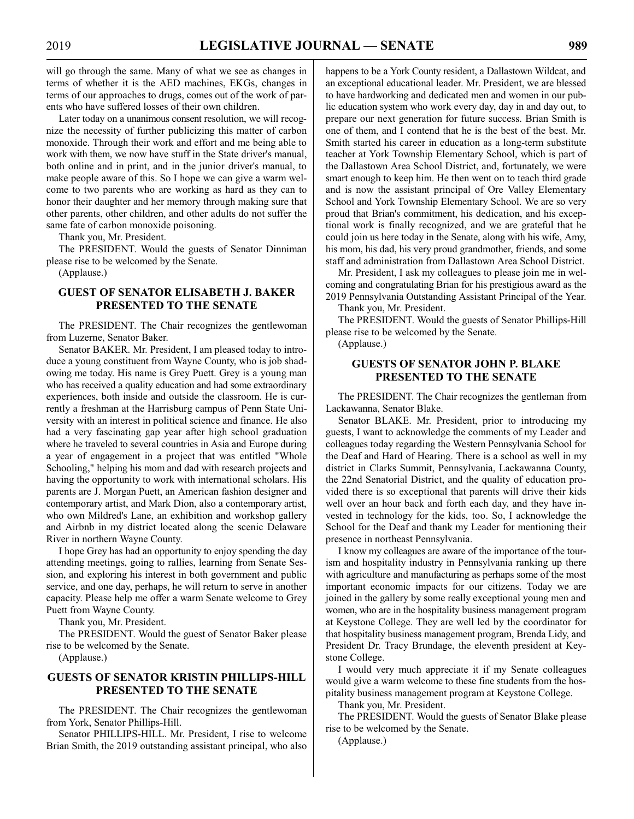will go through the same. Many of what we see as changes in terms of whether it is the AED machines, EKGs, changes in terms of our approaches to drugs, comes out of the work of parents who have suffered losses of their own children.

Later today on a unanimous consent resolution, we will recognize the necessity of further publicizing this matter of carbon monoxide. Through their work and effort and me being able to work with them, we now have stuff in the State driver's manual, both online and in print, and in the junior driver's manual, to make people aware of this. So I hope we can give a warm welcome to two parents who are working as hard as they can to honor their daughter and her memory through making sure that other parents, other children, and other adults do not suffer the same fate of carbon monoxide poisoning.

Thank you, Mr. President.

The PRESIDENT. Would the guests of Senator Dinniman please rise to be welcomed by the Senate.

(Applause.)

# **GUEST OF SENATOR ELISABETH J. BAKER PRESENTED TO THE SENATE**

The PRESIDENT. The Chair recognizes the gentlewoman from Luzerne, Senator Baker.

Senator BAKER. Mr. President, I am pleased today to introduce a young constituent from Wayne County, who is job shadowing me today. His name is Grey Puett. Grey is a young man who has received a quality education and had some extraordinary experiences, both inside and outside the classroom. He is currently a freshman at the Harrisburg campus of Penn State University with an interest in political science and finance. He also had a very fascinating gap year after high school graduation where he traveled to several countries in Asia and Europe during a year of engagement in a project that was entitled "Whole Schooling," helping his mom and dad with research projects and having the opportunity to work with international scholars. His parents are J. Morgan Puett, an American fashion designer and contemporary artist, and Mark Dion, also a contemporary artist, who own Mildred's Lane, an exhibition and workshop gallery and Airbnb in my district located along the scenic Delaware River in northern Wayne County.

I hope Grey has had an opportunity to enjoy spending the day attending meetings, going to rallies, learning from Senate Session, and exploring his interest in both government and public service, and one day, perhaps, he will return to serve in another capacity. Please help me offer a warm Senate welcome to Grey Puett from Wayne County.

Thank you, Mr. President.

The PRESIDENT. Would the guest of Senator Baker please rise to be welcomed by the Senate.

(Applause.)

# **GUESTS OF SENATOR KRISTIN PHILLIPS-HILL PRESENTED TO THE SENATE**

The PRESIDENT. The Chair recognizes the gentlewoman from York, Senator Phillips-Hill.

Senator PHILLIPS-HILL. Mr. President, I rise to welcome Brian Smith, the 2019 outstanding assistant principal, who also happens to be a York County resident, a Dallastown Wildcat, and an exceptional educational leader. Mr. President, we are blessed to have hardworking and dedicated men and women in our public education system who work every day, day in and day out, to prepare our next generation for future success. Brian Smith is one of them, and I contend that he is the best of the best. Mr. Smith started his career in education as a long-term substitute teacher at York Township Elementary School, which is part of the Dallastown Area School District, and, fortunately, we were smart enough to keep him. He then went on to teach third grade and is now the assistant principal of Ore Valley Elementary School and York Township Elementary School. We are so very proud that Brian's commitment, his dedication, and his exceptional work is finally recognized, and we are grateful that he could join us here today in the Senate, along with his wife, Amy, his mom, his dad, his very proud grandmother, friends, and some staff and administration from Dallastown Area School District.

Mr. President, I ask my colleagues to please join me in welcoming and congratulating Brian for his prestigious award as the 2019 Pennsylvania Outstanding Assistant Principal of the Year.

Thank you, Mr. President.

The PRESIDENT. Would the guests of Senator Phillips-Hill please rise to be welcomed by the Senate.

(Applause.)

# **GUESTS OF SENATOR JOHN P. BLAKE PRESENTED TO THE SENATE**

The PRESIDENT. The Chair recognizes the gentleman from Lackawanna, Senator Blake.

Senator BLAKE. Mr. President, prior to introducing my guests, I want to acknowledge the comments of my Leader and colleagues today regarding the Western Pennsylvania School for the Deaf and Hard of Hearing. There is a school as well in my district in Clarks Summit, Pennsylvania, Lackawanna County, the 22nd Senatorial District, and the quality of education provided there is so exceptional that parents will drive their kids well over an hour back and forth each day, and they have invested in technology for the kids, too. So, I acknowledge the School for the Deaf and thank my Leader for mentioning their presence in northeast Pennsylvania.

I know my colleagues are aware of the importance of the tourism and hospitality industry in Pennsylvania ranking up there with agriculture and manufacturing as perhaps some of the most important economic impacts for our citizens. Today we are joined in the gallery by some really exceptional young men and women, who are in the hospitality business management program at Keystone College. They are well led by the coordinator for that hospitality business management program, Brenda Lidy, and President Dr. Tracy Brundage, the eleventh president at Keystone College.

I would very much appreciate it if my Senate colleagues would give a warm welcome to these fine students from the hospitality business management program at Keystone College.

Thank you, Mr. President.

The PRESIDENT. Would the guests of Senator Blake please rise to be welcomed by the Senate.

(Applause.)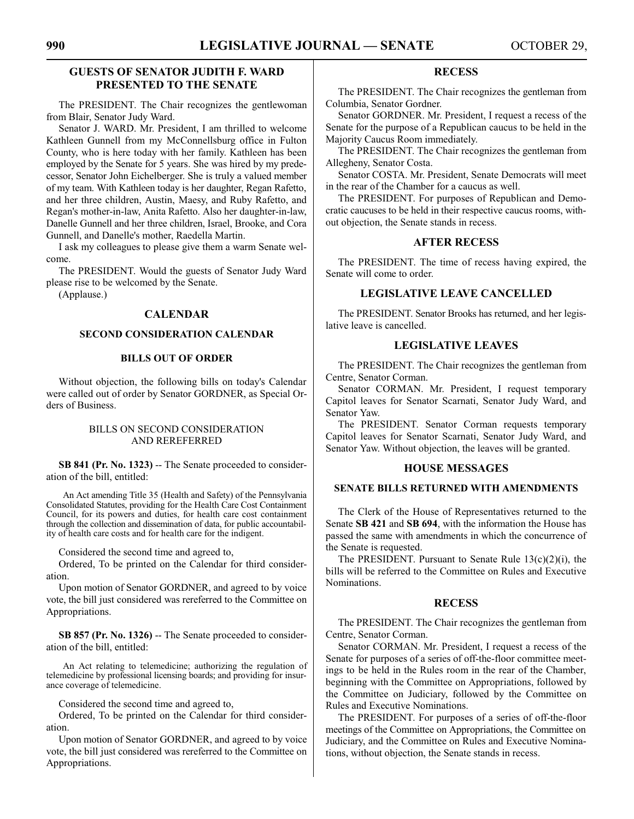# **GUESTS OF SENATOR JUDITH F. WARD PRESENTED TO THE SENATE**

The PRESIDENT. The Chair recognizes the gentlewoman from Blair, Senator Judy Ward.

Senator J. WARD. Mr. President, I am thrilled to welcome Kathleen Gunnell from my McConnellsburg office in Fulton County, who is here today with her family. Kathleen has been employed by the Senate for 5 years. She was hired by my predecessor, Senator John Eichelberger. She is truly a valued member of my team. With Kathleen today is her daughter, Regan Rafetto, and her three children, Austin, Maesy, and Ruby Rafetto, and Regan's mother-in-law, Anita Rafetto. Also her daughter-in-law, Danelle Gunnell and her three children, Israel, Brooke, and Cora Gunnell, and Danelle's mother, Raedella Martin.

I ask my colleagues to please give them a warm Senate welcome.

The PRESIDENT. Would the guests of Senator Judy Ward please rise to be welcomed by the Senate.

(Applause.)

# **CALENDAR**

# **SECOND CONSIDERATION CALENDAR**

# **BILLS OUT OF ORDER**

Without objection, the following bills on today's Calendar were called out of order by Senator GORDNER, as Special Orders of Business.

# BILLS ON SECOND CONSIDERATION AND REREFERRED

**SB 841 (Pr. No. 1323)** -- The Senate proceeded to consideration of the bill, entitled:

An Act amending Title 35 (Health and Safety) of the Pennsylvania Consolidated Statutes, providing for the Health Care Cost Containment Council, for its powers and duties, for health care cost containment through the collection and dissemination of data, for public accountability of health care costs and for health care for the indigent.

Considered the second time and agreed to,

Ordered, To be printed on the Calendar for third consideration.

Upon motion of Senator GORDNER, and agreed to by voice vote, the bill just considered was rereferred to the Committee on Appropriations.

**SB 857 (Pr. No. 1326)** -- The Senate proceeded to consideration of the bill, entitled:

An Act relating to telemedicine; authorizing the regulation of telemedicine by professional licensing boards; and providing for insurance coverage of telemedicine.

Considered the second time and agreed to,

Ordered, To be printed on the Calendar for third consideration.

Upon motion of Senator GORDNER, and agreed to by voice vote, the bill just considered was rereferred to the Committee on Appropriations.

# **RECESS**

The PRESIDENT. The Chair recognizes the gentleman from Columbia, Senator Gordner.

Senator GORDNER. Mr. President, I request a recess of the Senate for the purpose of a Republican caucus to be held in the Majority Caucus Room immediately.

The PRESIDENT. The Chair recognizes the gentleman from Allegheny, Senator Costa.

Senator COSTA. Mr. President, Senate Democrats will meet in the rear of the Chamber for a caucus as well.

The PRESIDENT. For purposes of Republican and Democratic caucuses to be held in their respective caucus rooms, without objection, the Senate stands in recess.

# **AFTER RECESS**

The PRESIDENT. The time of recess having expired, the Senate will come to order.

# **LEGISLATIVE LEAVE CANCELLED**

The PRESIDENT. Senator Brooks has returned, and her legislative leave is cancelled.

# **LEGISLATIVE LEAVES**

The PRESIDENT. The Chair recognizes the gentleman from Centre, Senator Corman.

Senator CORMAN. Mr. President, I request temporary Capitol leaves for Senator Scarnati, Senator Judy Ward, and Senator Yaw.

The PRESIDENT. Senator Corman requests temporary Capitol leaves for Senator Scarnati, Senator Judy Ward, and Senator Yaw. Without objection, the leaves will be granted.

# **HOUSE MESSAGES**

# **SENATE BILLS RETURNED WITH AMENDMENTS**

The Clerk of the House of Representatives returned to the Senate **SB 421** and **SB 694**, with the information the House has passed the same with amendments in which the concurrence of the Senate is requested.

The PRESIDENT. Pursuant to Senate Rule  $13(c)(2)(i)$ , the bills will be referred to the Committee on Rules and Executive Nominations.

#### **RECESS**

The PRESIDENT. The Chair recognizes the gentleman from Centre, Senator Corman.

Senator CORMAN. Mr. President, I request a recess of the Senate for purposes of a series of off-the-floor committee meetings to be held in the Rules room in the rear of the Chamber, beginning with the Committee on Appropriations, followed by the Committee on Judiciary, followed by the Committee on Rules and Executive Nominations.

The PRESIDENT. For purposes of a series of off-the-floor meetings of the Committee on Appropriations, the Committee on Judiciary, and the Committee on Rules and Executive Nominations, without objection, the Senate stands in recess.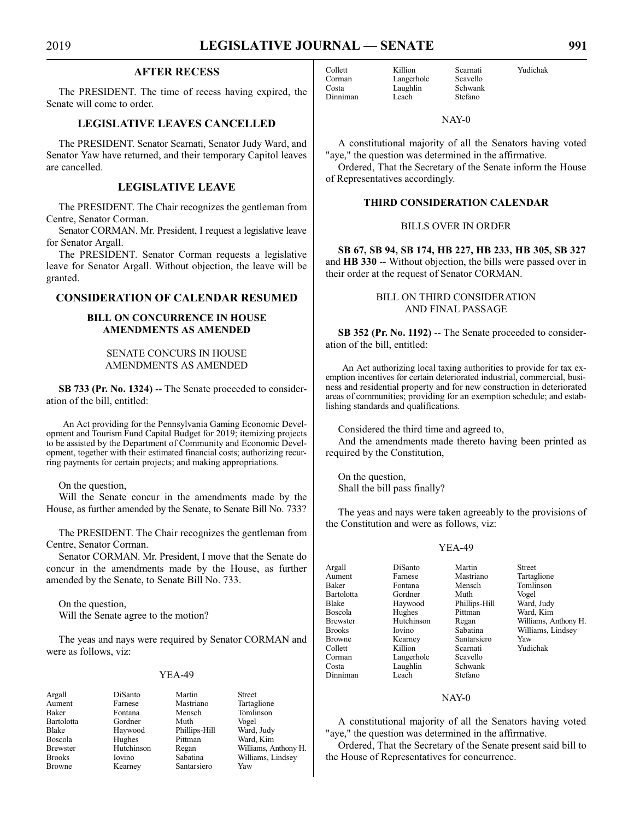# **AFTER RECESS**

The PRESIDENT. The time of recess having expired, the Senate will come to order.

# **LEGISLATIVE LEAVES CANCELLED**

The PRESIDENT. Senator Scarnati, Senator Judy Ward, and Senator Yaw have returned, and their temporary Capitol leaves are cancelled.

# **LEGISLATIVE LEAVE**

The PRESIDENT. The Chair recognizes the gentleman from Centre, Senator Corman.

Senator CORMAN. Mr. President, I request a legislative leave for Senator Argall.

The PRESIDENT. Senator Corman requests a legislative leave for Senator Argall. Without objection, the leave will be granted.

# **CONSIDERATION OF CALENDAR RESUMED**

# **BILL ON CONCURRENCE IN HOUSE AMENDMENTS AS AMENDED**

# SENATE CONCURS IN HOUSE AMENDMENTS AS AMENDED

**SB 733 (Pr. No. 1324)** -- The Senate proceeded to consideration of the bill, entitled:

An Act providing for the Pennsylvania Gaming Economic Development and Tourism Fund Capital Budget for 2019; itemizing projects to be assisted by the Department of Community and Economic Development, together with their estimated financial costs; authorizing recurring payments for certain projects; and making appropriations.

On the question,

Will the Senate concur in the amendments made by the House, as further amended by the Senate, to Senate Bill No. 733?

The PRESIDENT. The Chair recognizes the gentleman from Centre, Senator Corman.

Senator CORMAN. Mr. President, I move that the Senate do concur in the amendments made by the House, as further amended by the Senate, to Senate Bill No. 733.

On the question, Will the Senate agree to the motion?

The yeas and nays were required by Senator CORMAN and were as follows, viz:

#### YEA-49

| Argall        | DiSanto    | Martin        | Street |
|---------------|------------|---------------|--------|
| Aument        | Farnese    | Mastriano     | Tartag |
| Baker         | Fontana    | Mensch        | Tomli  |
| Bartolotta    | Gordner    | Muth          | Vogel  |
| Blake         | Haywood    | Phillips-Hill | Ward.  |
| Boscola       | Hughes     | Pittman       | Ward.  |
| Brewster      | Hutchinson | Regan         | Willia |
| Brooks        | Iovino     | Sabatina      | Willia |
| <b>Rrowne</b> | Kearney    | Santarsiero   | Yaw    |

Report Mastriano Tartaglione<br>
Aument Tartaglione<br>
Mensch Tomlinson na Mensch Tomlinson<br>er Muth Vogel ood Phillips-Hill Ward, Judy<br>es Pittman Ward, Kim es Pittman Ward, Kim<br>
inson Regan Williams A ey Santarsiero Yaw

inson Regan Williams, Anthony H. Sabatina Williams, Lindsey

Collett Killion Scarnati Yudichak Corman Langerholc Scavello Laughlin Dinniman Leach Stefano

NAY-0

A constitutional majority of all the Senators having voted "aye," the question was determined in the affirmative.

Ordered, That the Secretary of the Senate inform the House of Representatives accordingly.

# **THIRD CONSIDERATION CALENDAR**

#### BILLS OVER IN ORDER

**SB 67, SB 94, SB 174, HB 227, HB 233, HB 305, SB 327** and **HB 330** -- Without objection, the bills were passed over in their order at the request of Senator CORMAN.

# BILL ON THIRD CONSIDERATION AND FINAL PASSAGE

**SB 352 (Pr. No. 1192)** -- The Senate proceeded to consideration of the bill, entitled:

An Act authorizing local taxing authorities to provide for tax exemption incentives for certain deteriorated industrial, commercial, business and residential property and for new construction in deteriorated areas of communities; providing for an exemption schedule; and establishing standards and qualifications.

Considered the third time and agreed to,

And the amendments made thereto having been printed as required by the Constitution,

On the question, Shall the bill pass finally?

Hughes

The yeas and nays were taken agreeably to the provisions of the Constitution and were as follows, viz:

#### YEA-49

Argall DiSanto Martin Street Corman Langerholc Scavello<br>
Costa Laughlin Schwanl Dinniman

Aument Farnese Mastriano Tartaglione Bartolotta Gordner Muth Vogel Blake Haywood Phillips-Hill Ward, Judy Browne Kearney Santarsiero Yaw<br>Collett Killion Scarnati Yudi Laughlin Schwank<br>Leach Stefano

Tomlinson Brewster Hutchinson Regan Williams, Anthony H.<br>Brooks Iovino Sabatina Williams, Lindsey Brooks Iovino Sabatina Williams, Lindsey<br>Browne Kearnev Santarsiero Yaw Yudichak

#### NAY-0

A constitutional majority of all the Senators having voted "aye," the question was determined in the affirmative.

Ordered, That the Secretary of the Senate present said bill to the House of Representatives for concurrence.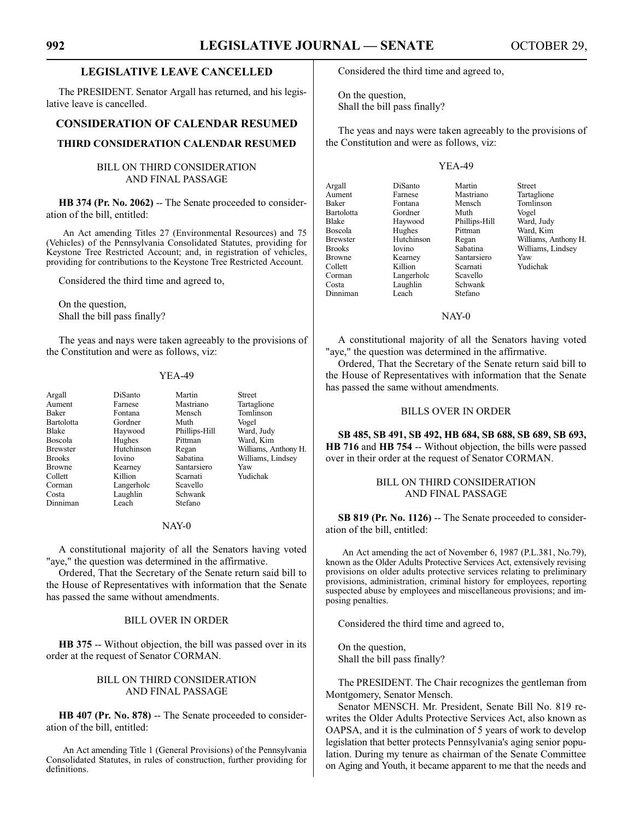# **LEGISLATIVE LEAVE CANCELLED**

The PRESIDENT. Senator Argall has returned, and his legislative leave is cancelled.

# **CONSIDERATION OF CALENDAR RESUMED**

# **THIRD CONSIDERATION CALENDAR RESUMED**

# BILL ON THIRD CONSIDERATION AND FINAL PASSAGE

**HB 374 (Pr. No. 2062)** -- The Senate proceeded to consideration of the bill, entitled:

An Act amending Titles 27 (Environmental Resources) and 75 (Vehicles) of the Pennsylvania Consolidated Statutes, providing for Keystone Tree Restricted Account; and, in registration of vehicles, providing for contributions to the Keystone Tree Restricted Account.

Considered the third time and agreed to,

On the question, Shall the bill pass finally?

The yeas and nays were taken agreeably to the provisions of the Constitution and were as follows, viz:

#### YEA-49

| Argall            | DiSanto    | Martin        | <b>Street</b>        |
|-------------------|------------|---------------|----------------------|
| Aument            | Farnese    | Mastriano     | Tartaglione          |
| <b>Baker</b>      | Fontana    | Mensch        | Tomlinson            |
| <b>Bartolotta</b> | Gordner    | Muth          | Vogel                |
| <b>Blake</b>      | Haywood    | Phillips-Hill | Ward, Judy           |
| <b>Boscola</b>    | Hughes     | Pittman       | Ward, Kim            |
| <b>Brewster</b>   | Hutchinson | Regan         | Williams, Anthony H. |
| <b>Brooks</b>     | Iovino     | Sabatina      | Williams, Lindsey    |
| <b>Browne</b>     | Kearney    | Santarsiero   | Yaw                  |
| Collett           | Killion    | Scarnati      | Yudichak             |
| Corman            | Langerholc | Scavello      |                      |
| Costa             | Laughlin   | Schwank       |                      |
| Dinniman          | I each     | Stefano       |                      |

# NAY-0

A constitutional majority of all the Senators having voted "aye," the question was determined in the affirmative.

Ordered, That the Secretary of the Senate return said bill to the House of Representatives with information that the Senate has passed the same without amendments.

# BILL OVER IN ORDER

**HB 375** -- Without objection, the bill was passed over in its order at the request of Senator CORMAN.

#### BILL ON THIRD CONSIDERATION AND FINAL PASSAGE

**HB 407 (Pr. No. 878)** -- The Senate proceeded to consideration of the bill, entitled:

An Act amending Title 1 (General Provisions) of the Pennsylvania Consolidated Statutes, in rules of construction, further providing for definitions.

Considered the third time and agreed to,

On the question, Shall the bill pass finally?

The yeas and nays were taken agreeably to the provisions of the Constitution and were as follows, viz:

#### YEA-49

| Argall          | DiSanto       | Martin        | <b>Street</b>        |
|-----------------|---------------|---------------|----------------------|
| Aument          | Farnese       | Mastriano     | Tartaglione          |
| <b>Baker</b>    | Fontana       | Mensch        | Tomlinson            |
| Bartolotta      | Gordner       | Muth          | Vogel                |
| <b>Blake</b>    | Haywood       | Phillips-Hill | Ward, Judy           |
| Boscola         | Hughes        | Pittman       | Ward, Kim            |
| <b>Brewster</b> | Hutchinson    | Regan         | Williams, Anthony H. |
| <b>Brooks</b>   | <b>Iovino</b> | Sabatina      | Williams, Lindsey    |
| <b>Browne</b>   | Kearney       | Santarsiero   | Yaw                  |
| Collett         | Killion       | Scarnati      | Yudichak             |
| Corman          | Langerholc    | Scavello      |                      |
| Costa           | Laughlin      | Schwank       |                      |
| Dinniman        | Leach         | Stefano       |                      |

#### NAY-0

A constitutional majority of all the Senators having voted "aye," the question was determined in the affirmative.

Ordered, That the Secretary of the Senate return said bill to the House of Representatives with information that the Senate has passed the same without amendments.

#### BILLS OVER IN ORDER

**SB 485, SB 491, SB 492, HB 684, SB 688, SB 689, SB 693, HB 716** and **HB 754** -- Without objection, the bills were passed over in their order at the request of Senator CORMAN.

#### BILL ON THIRD CONSIDERATION AND FINAL PASSAGE

**SB 819 (Pr. No. 1126)** -- The Senate proceeded to consideration of the bill, entitled:

An Act amending the act of November 6, 1987 (P.L.381, No.79), known as the Older Adults Protective Services Act, extensively revising provisions on older adults protective services relating to preliminary provisions, administration, criminal history for employees, reporting suspected abuse by employees and miscellaneous provisions; and imposing penalties.

Considered the third time and agreed to,

On the question, Shall the bill pass finally?

The PRESIDENT. The Chair recognizes the gentleman from Montgomery, Senator Mensch.

Senator MENSCH. Mr. President, Senate Bill No. 819 rewrites the Older Adults Protective Services Act, also known as OAPSA, and it is the culmination of 5 years of work to develop legislation that better protects Pennsylvania's aging senior population. During my tenure as chairman of the Senate Committee on Aging and Youth, it became apparent to me that the needs and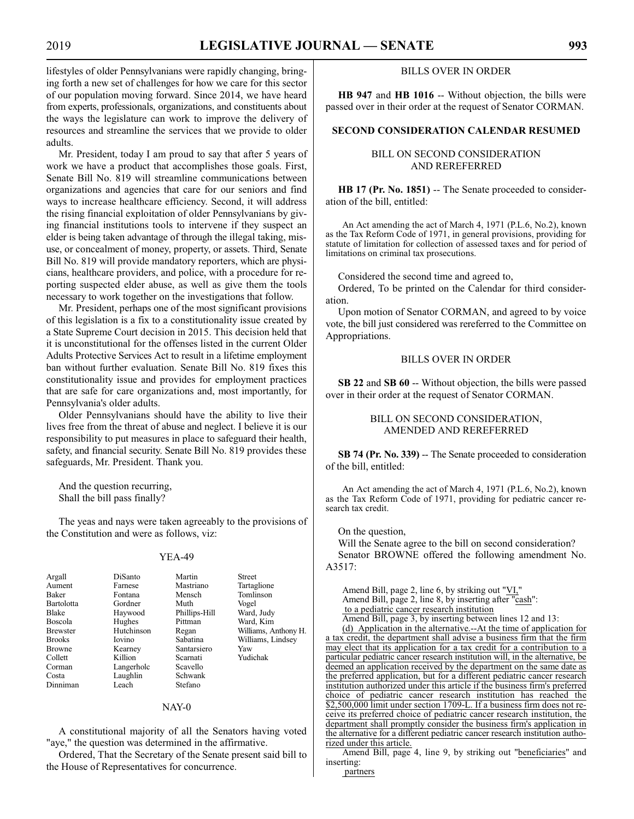lifestyles of older Pennsylvanians were rapidly changing, bringing forth a new set of challenges for how we care for this sector of our population moving forward. Since 2014, we have heard from experts, professionals, organizations, and constituents about the ways the legislature can work to improve the delivery of resources and streamline the services that we provide to older adults.

Mr. President, today I am proud to say that after 5 years of work we have a product that accomplishes those goals. First, Senate Bill No. 819 will streamline communications between organizations and agencies that care for our seniors and find ways to increase healthcare efficiency. Second, it will address the rising financial exploitation of older Pennsylvanians by giving financial institutions tools to intervene if they suspect an elder is being taken advantage of through the illegal taking, misuse, or concealment of money, property, or assets. Third, Senate Bill No. 819 will provide mandatory reporters, which are physicians, healthcare providers, and police, with a procedure for reporting suspected elder abuse, as well as give them the tools necessary to work together on the investigations that follow.

Mr. President, perhaps one of the most significant provisions of this legislation is a fix to a constitutionality issue created by a State Supreme Court decision in 2015. This decision held that it is unconstitutional for the offenses listed in the current Older Adults Protective Services Act to result in a lifetime employment ban without further evaluation. Senate Bill No. 819 fixes this constitutionality issue and provides for employment practices that are safe for care organizations and, most importantly, for Pennsylvania's older adults.

Older Pennsylvanians should have the ability to live their lives free from the threat of abuse and neglect. I believe it is our responsibility to put measures in place to safeguard their health, safety, and financial security. Senate Bill No. 819 provides these safeguards, Mr. President. Thank you.

And the question recurring, Shall the bill pass finally?

The yeas and nays were taken agreeably to the provisions of the Constitution and were as follows, viz:

# YEA-49

| Argall            | DiSanto    | Martin        | <b>Street</b>        |
|-------------------|------------|---------------|----------------------|
| Aument            | Farnese    | Mastriano     | Tartaglione          |
| Baker             | Fontana    | Mensch        | Tomlinson            |
| <b>Bartolotta</b> | Gordner    | Muth          | Vogel                |
| Blake             | Haywood    | Phillips-Hill | Ward, Judy           |
| <b>Boscola</b>    | Hughes     | Pittman       | Ward, Kim            |
| <b>Brewster</b>   | Hutchinson | Regan         | Williams, Anthony H. |
| <b>Brooks</b>     | Iovino     | Sabatina      | Williams, Lindsey    |
| <b>Browne</b>     | Kearney    | Santarsiero   | Yaw                  |
| Collett           | Killion    | Scarnati      | Yudichak             |
| Corman            | Langerholc | Scavello      |                      |
| Costa             | Laughlin   | Schwank       |                      |
| Dinniman          | Leach      | Stefano       |                      |

#### NAY-0

A constitutional majority of all the Senators having voted "aye," the question was determined in the affirmative.

Ordered, That the Secretary of the Senate present said bill to the House of Representatives for concurrence.

#### BILLS OVER IN ORDER

**HB 947** and **HB 1016** -- Without objection, the bills were passed over in their order at the request of Senator CORMAN.

#### **SECOND CONSIDERATION CALENDAR RESUMED**

# BILL ON SECOND CONSIDERATION AND REREFERRED

**HB 17 (Pr. No. 1851)** -- The Senate proceeded to consideration of the bill, entitled:

An Act amending the act of March 4, 1971 (P.L.6, No.2), known as the Tax Reform Code of 1971, in general provisions, providing for statute of limitation for collection of assessed taxes and for period of limitations on criminal tax prosecutions.

Considered the second time and agreed to,

Ordered, To be printed on the Calendar for third consideration.

Upon motion of Senator CORMAN, and agreed to by voice vote, the bill just considered was rereferred to the Committee on Appropriations.

#### BILLS OVER IN ORDER

**SB 22** and **SB 60** -- Without objection, the bills were passed over in their order at the request of Senator CORMAN.

# BILL ON SECOND CONSIDERATION, AMENDED AND REREFERRED

**SB 74 (Pr. No. 339)** -- The Senate proceeded to consideration of the bill, entitled:

An Act amending the act of March 4, 1971 (P.L.6, No.2), known as the Tax Reform Code of 1971, providing for pediatric cancer research tax credit.

On the question,

Will the Senate agree to the bill on second consideration? Senator BROWNE offered the following amendment No. A3517:

Amend Bill, page 2, line 6, by striking out " $\underline{VI}$ ," Amend Bill, page 2, line 8, by inserting after "cash": to a pediatric cancer research institution Amend Bill, page 3, by inserting between lines 12 and 13: (d) Application in the alternative.--At the time of application for

a tax credit, the department shall advise a business firm that the firm may elect that its application for a tax credit for a contribution to a particular pediatric cancer research institution will, in the alternative, be deemed an application received by the department on the same date as the preferred application, but for a different pediatric cancer research institution authorized under this article if the business firm's preferred choice of pediatric cancer research institution has reached the \$2,500,000 limit under section 1709-L. If a business firm does not receive its preferred choice of pediatric cancer research institution, the department shall promptly consider the business firm's application in the alternative for a different pediatric cancer research institution authorized under this article.

Amend Bill, page 4, line 9, by striking out "beneficiaries" and inserting:

partners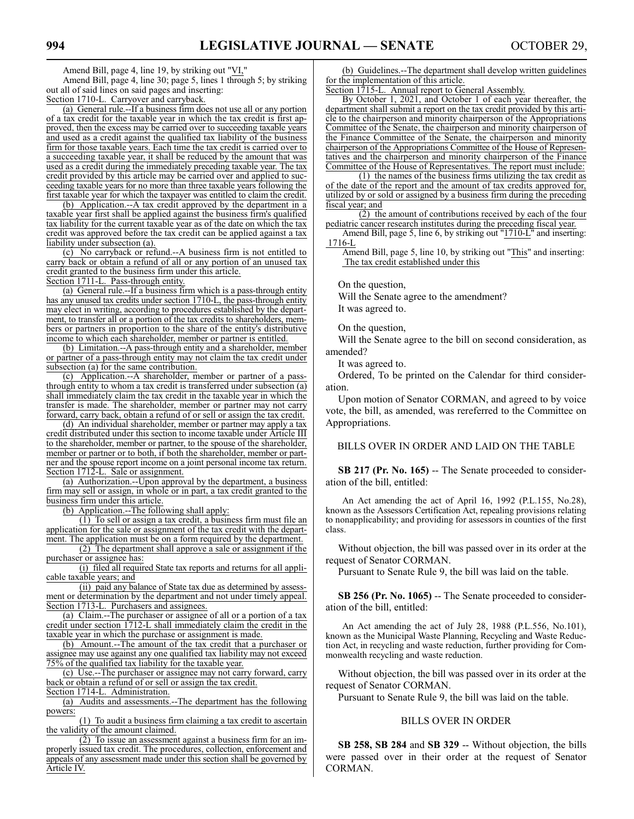Amend Bill, page 4, line 19, by striking out "VI,"

Amend Bill, page 4, line 30; page 5, lines 1 through 5; by striking out all of said lines on said pages and inserting:

Section 1710-L. Carryover and carryback.

(a) General rule.--If a business firm does not use all or any portion of a tax credit for the taxable year in which the tax credit is first approved, then the excess may be carried over to succeeding taxable years and used as a credit against the qualified tax liability of the business firm for those taxable years. Each time the tax credit is carried over to a succeeding taxable year, it shall be reduced by the amount that was used as a credit during the immediately preceding taxable year. The tax credit provided by this article may be carried over and applied to succeeding taxable years for no more than three taxable years following the first taxable year for which the taxpayer was entitled to claim the credit.

(b) Application.--A tax credit approved by the department in a taxable year first shall be applied against the business firm's qualified tax liability for the current taxable year as of the date on which the tax credit was approved before the tax credit can be applied against a tax liability under subsection (a).

(c) No carryback or refund.--A business firm is not entitled to carry back or obtain a refund of all or any portion of an unused tax credit granted to the business firm under this article. Section 1711-L. Pass-through entity.

(a) General rule.--If a business firm which is a pass-through entity has any unused tax credits under section 1710-L, the pass-through entity may elect in writing, according to procedures established by the department, to transfer all or a portion of the tax credits to shareholders, members or partners in proportion to the share of the entity's distributive income to which each shareholder, member or partner is entitled.

(b) Limitation.--A pass-through entity and a shareholder, member or partner of a pass-through entity may not claim the tax credit under subsection (a) for the same contribution.

(c) Application.--A shareholder, member or partner of a passthrough entity to whom a tax credit is transferred under subsection (a) shall immediately claim the tax credit in the taxable year in which the transfer is made. The shareholder, member or partner may not carry forward, carry back, obtain a refund of or sell or assign the tax credit.

(d) An individual shareholder, member or partner may apply a tax credit distributed under this section to income taxable under Article III to the shareholder, member or partner, to the spouse of the shareholder, member or partner or to both, if both the shareholder, member or partner and the spouse report income on a joint personal income tax return. Section 1712-L. Sale or assignment.

(a) Authorization.--Upon approval by the department, a business firm may sell or assign, in whole or in part, a tax credit granted to the business firm under this article.

(b) Application.--The following shall apply:

(1) To sell or assign a tax credit, a business firm must file an application for the sale or assignment of the tax credit with the department. The application must be on a form required by the department. (2) The department shall approve a sale or assignment if the

purchaser or assignee has:

(i) filed all required State tax reports and returns for all applicable taxable years; and

(ii) paid any balance of State tax due as determined by assessment or determination by the department and not under timely appeal. Section 1713-L. Purchasers and assignees.

(a) Claim.--The purchaser or assignee of all or a portion of a tax credit under section 1712-L shall immediately claim the credit in the taxable year in which the purchase or assignment is made.

(b) Amount.--The amount of the tax credit that a purchaser or assignee may use against any one qualified tax liability may not exceed 75% of the qualified tax liability for the taxable year.

(c) Use.--The purchaser or assignee may not carry forward, carry back or obtain a refund of or sell or assign the tax credit. Section 1714-L. Administration.

(a) Audits and assessments.--The department has the following powers:

(1) To audit a business firm claiming a tax credit to ascertain the validity of the amount claimed.

(2) To issue an assessment against a business firm for an improperly issued tax credit. The procedures, collection, enforcement and appeals of any assessment made under this section shall be governed by Article IV.

(b) Guidelines.--The department shall develop written guidelines for the implementation of this article.

Section 1715-L. Annual report to General Assembly.

By October 1, 2021, and October 1 of each year thereafter, the department shall submit a report on the tax credit provided by this article to the chairperson and minority chairperson of the Appropriations Committee of the Senate, the chairperson and minority chairperson of the Finance Committee of the Senate, the chairperson and minority chairperson of the Appropriations Committee of the House of Representatives and the chairperson and minority chairperson of the Finance Committee of the House of Representatives. The report must include:

(1) the names of the business firms utilizing the tax credit as of the date of the report and the amount of tax credits approved for, utilized by or sold or assigned by a business firm during the preceding fiscal year; and

(2) the amount of contributions received by each of the four pediatric cancer research institutes during the preceding fiscal year.

Amend Bill, page 5, line 6, by striking out "1710-L" and inserting: 1716-L

Amend Bill, page 5, line 10, by striking out "This" and inserting: The tax credit established under this

On the question,

Will the Senate agree to the amendment? It was agreed to.

On the question,

Will the Senate agree to the bill on second consideration, as amended?

It was agreed to.

Ordered, To be printed on the Calendar for third consideration.

Upon motion of Senator CORMAN, and agreed to by voice vote, the bill, as amended, was rereferred to the Committee on Appropriations.

# BILLS OVER IN ORDER AND LAID ON THE TABLE

**SB 217 (Pr. No. 165)** -- The Senate proceeded to consideration of the bill, entitled:

An Act amending the act of April 16, 1992 (P.L.155, No.28), known as the Assessors Certification Act, repealing provisions relating to nonapplicability; and providing for assessors in counties of the first class.

Without objection, the bill was passed over in its order at the request of Senator CORMAN.

Pursuant to Senate Rule 9, the bill was laid on the table.

**SB 256 (Pr. No. 1065)** -- The Senate proceeded to consideration of the bill, entitled:

An Act amending the act of July 28, 1988 (P.L.556, No.101), known as the Municipal Waste Planning, Recycling and Waste Reduction Act, in recycling and waste reduction, further providing for Commonwealth recycling and waste reduction.

Without objection, the bill was passed over in its order at the request of Senator CORMAN.

Pursuant to Senate Rule 9, the bill was laid on the table.

#### BILLS OVER IN ORDER

**SB 258, SB 284** and **SB 329** -- Without objection, the bills were passed over in their order at the request of Senator CORMAN.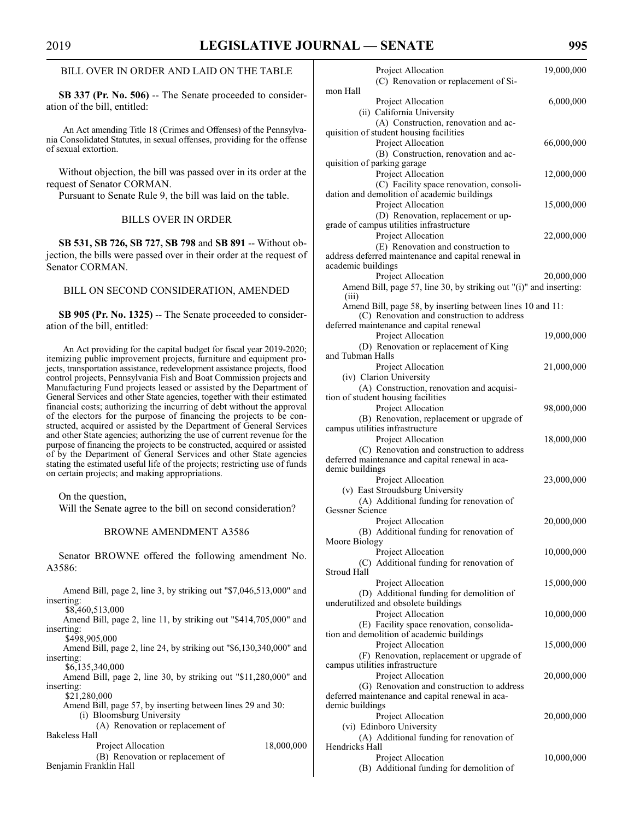# BILL OVER IN ORDER AND LAID ON THE TABLE

**SB 337 (Pr. No. 506)** -- The Senate proceeded to consideration of the bill, entitled:

An Act amending Title 18 (Crimes and Offenses) of the Pennsylvania Consolidated Statutes, in sexual offenses, providing for the offense of sexual extortion.

Without objection, the bill was passed over in its order at the request of Senator CORMAN.

Pursuant to Senate Rule 9, the bill was laid on the table.

#### BILLS OVER IN ORDER

**SB 531, SB 726, SB 727, SB 798** and **SB 891** -- Without objection, the bills were passed over in their order at the request of Senator CORMAN.

# BILL ON SECOND CONSIDERATION, AMENDED

**SB 905 (Pr. No. 1325)** -- The Senate proceeded to consideration of the bill, entitled:

An Act providing for the capital budget for fiscal year 2019-2020; itemizing public improvement projects, furniture and equipment projects, transportation assistance, redevelopment assistance projects, flood control projects, Pennsylvania Fish and Boat Commission projects and Manufacturing Fund projects leased or assisted by the Department of General Services and other State agencies, together with their estimated financial costs; authorizing the incurring of debt without the approval of the electors for the purpose of financing the projects to be constructed, acquired or assisted by the Department of General Services and other State agencies; authorizing the use of current revenue for the purpose of financing the projects to be constructed, acquired or assisted of by the Department of General Services and other State agencies stating the estimated useful life of the projects; restricting use of funds on certain projects; and making appropriations.

On the question,

Will the Senate agree to the bill on second consideration?

#### BROWNE AMENDMENT A3586

Senator BROWNE offered the following amendment No. A3586:

| Amend Bill, page 2, line 3, by striking out "\$7,046,513,000" and  |
|--------------------------------------------------------------------|
| inserting:                                                         |
| \$8,460,513,000                                                    |
| Amend Bill, page 2, line 11, by striking out "\$414,705,000" and   |
| inserting:                                                         |
| \$498,905,000                                                      |
| Amend Bill, page 2, line 24, by striking out "\$6,130,340,000" and |
| inserting:                                                         |
| \$6,135,340,000                                                    |
| Amend Bill, page 2, line 30, by striking out "\$11,280,000" and    |
| inserting:                                                         |
| \$21,280,000                                                       |
| Amend Bill, page 57, by inserting between lines 29 and 30:         |
| (i) Bloomsburg University                                          |
| (A) Renovation or replacement of                                   |
| <b>Bakeless Hall</b>                                               |
| Project Allocation<br>18,000,000                                   |
| (B) Renovation or replacement of                                   |
| Benjamin Franklin Hall                                             |

|                                          | Project Allocation                                                                             | 19,000,000 |
|------------------------------------------|------------------------------------------------------------------------------------------------|------------|
| mon Hall                                 | (C) Renovation or replacement of Si-                                                           |            |
|                                          |                                                                                                |            |
|                                          | Project Allocation<br>(ii) California University                                               | 6,000,000  |
|                                          |                                                                                                |            |
| quisition of student housing facilities  | (A) Construction, renovation and ac-                                                           |            |
|                                          | Project Allocation                                                                             | 66,000,000 |
|                                          | (B) Construction, renovation and ac-                                                           |            |
| quisition of parking garage              |                                                                                                |            |
|                                          | Project Allocation                                                                             | 12,000,000 |
|                                          | (C) Facility space renovation, consoli-                                                        |            |
|                                          | dation and demolition of academic buildings                                                    |            |
|                                          | Project Allocation                                                                             | 15,000,000 |
|                                          |                                                                                                |            |
| grade of campus utilities infrastructure | (D) Renovation, replacement or up-                                                             |            |
|                                          | Project Allocation                                                                             | 22,000,000 |
|                                          |                                                                                                |            |
|                                          | (E) Renovation and construction to<br>address deferred maintenance and capital renewal in      |            |
| academic buildings                       |                                                                                                |            |
|                                          | Project Allocation                                                                             | 20,000,000 |
|                                          | Amend Bill, page 57, line 30, by striking out "(i)" and inserting:                             |            |
| (iii)                                    |                                                                                                |            |
|                                          | Amend Bill, page 58, by inserting between lines 10 and 11:                                     |            |
|                                          | (C) Renovation and construction to address                                                     |            |
| deferred maintenance and capital renewal |                                                                                                |            |
|                                          | Project Allocation                                                                             | 19,000,000 |
|                                          | (D) Renovation or replacement of King                                                          |            |
| and Tubman Halls                         |                                                                                                |            |
|                                          | Project Allocation                                                                             | 21,000,000 |
| (iv) Clarion University                  |                                                                                                |            |
|                                          | (A) Construction, renovation and acquisi-                                                      |            |
| tion of student housing facilities       |                                                                                                |            |
|                                          | Project Allocation                                                                             | 98,000,000 |
|                                          | (B) Renovation, replacement or upgrade of                                                      |            |
| campus utilities infrastructure          |                                                                                                |            |
|                                          | Project Allocation                                                                             | 18,000,000 |
|                                          | (C) Renovation and construction to address                                                     |            |
|                                          | deferred maintenance and capital renewal in aca-                                               |            |
| demic buildings                          |                                                                                                |            |
|                                          | Project Allocation                                                                             | 23,000,000 |
| (v) East Stroudsburg University          |                                                                                                |            |
|                                          | (A) Additional funding for renovation of                                                       |            |
| Gessner Science                          |                                                                                                |            |
|                                          | Project Allocation                                                                             | 20,000,000 |
|                                          | (B) Additional funding for renovation of                                                       |            |
| Moore Biology                            |                                                                                                |            |
|                                          | Project Allocation                                                                             | 10,000,000 |
|                                          | (C) Additional funding for renovation of                                                       |            |
| Stroud Hall                              |                                                                                                |            |
|                                          | Project Allocation                                                                             | 15,000,000 |
|                                          | (D) Additional funding for demolition of                                                       |            |
| underutilized and obsolete buildings     |                                                                                                |            |
|                                          | <b>Project Allocation</b>                                                                      | 10,000,000 |
|                                          | (E) Facility space renovation, consolida-<br>tion and demolition of academic buildings         |            |
|                                          |                                                                                                |            |
|                                          | Project Allocation                                                                             | 15,000,000 |
|                                          | (F) Renovation, replacement or upgrade of                                                      |            |
| campus utilities infrastructure          |                                                                                                |            |
|                                          | Project Allocation                                                                             | 20,000,000 |
|                                          | (G) Renovation and construction to address<br>deferred maintenance and capital renewal in aca- |            |
| demic buildings                          |                                                                                                |            |
|                                          | Project Allocation                                                                             | 20,000,000 |
| (vi) Edinboro University                 |                                                                                                |            |
|                                          | (A) Additional funding for renovation of                                                       |            |
| Hendricks Hall                           |                                                                                                |            |
|                                          | Project Allocation                                                                             | 10,000,000 |
|                                          | (B) Additional funding for demolition of                                                       |            |
|                                          |                                                                                                |            |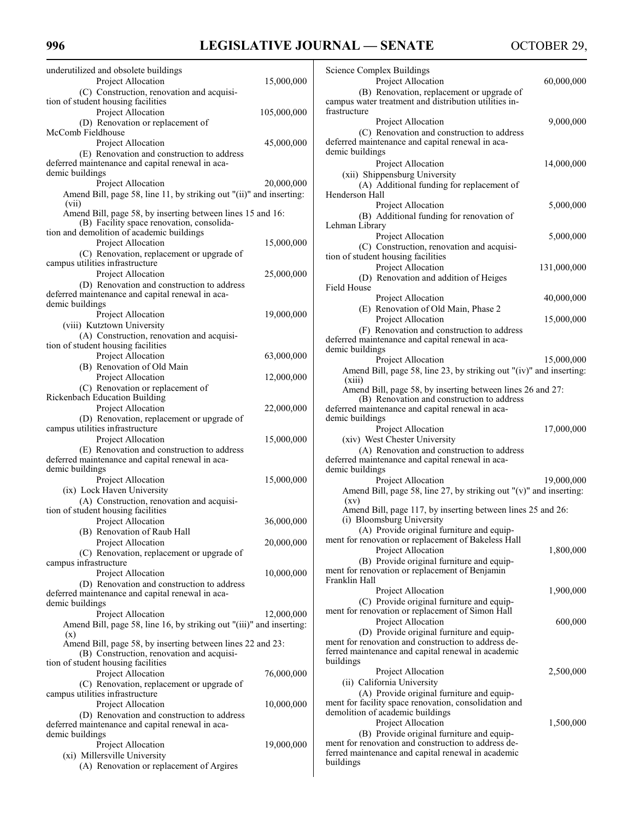# **996 LEGISLATIVE JOURNAL — SENATE** OCTOBER 29,

| underutilized and obsolete buildings                                                           |             |
|------------------------------------------------------------------------------------------------|-------------|
| Project Allocation                                                                             | 15,000,000  |
| (C) Construction, renovation and acquisi-<br>tion of student housing facilities                |             |
| Project Allocation                                                                             | 105,000,000 |
| (D) Renovation or replacement of                                                               |             |
| McComb Fieldhouse                                                                              |             |
| Project Allocation                                                                             | 45,000,000  |
| (E) Renovation and construction to address<br>deferred maintenance and capital renewal in aca- |             |
| demic buildings                                                                                |             |
| Project Allocation                                                                             | 20,000,000  |
| Amend Bill, page 58, line 11, by striking out "(ii)" and inserting:                            |             |
| (vii)<br>Amend Bill, page 58, by inserting between lines 15 and 16:                            |             |
| (B) Facility space renovation, consolida-                                                      |             |
| tion and demolition of academic buildings                                                      |             |
| Project Allocation                                                                             | 15,000,000  |
| (C) Renovation, replacement or upgrade of<br>campus utilities infrastructure                   |             |
| Project Allocation                                                                             | 25,000,000  |
| (D) Renovation and construction to address                                                     |             |
| deferred maintenance and capital renewal in aca-<br>demic buildings                            |             |
| Project Allocation                                                                             | 19,000,000  |
| (viii) Kutztown University                                                                     |             |
| (A) Construction, renovation and acquisi-                                                      |             |
| tion of student housing facilities                                                             |             |
| Project Allocation<br>(B) Renovation of Old Main                                               | 63,000,000  |
| Project Allocation                                                                             | 12,000,000  |
| (C) Renovation or replacement of                                                               |             |
| Rickenbach Education Building                                                                  |             |
| Project Allocation                                                                             | 22,000,000  |
| (D) Renovation, replacement or upgrade of<br>campus utilities infrastructure                   |             |
| Project Allocation                                                                             | 15,000,000  |
| (E) Renovation and construction to address                                                     |             |
| deferred maintenance and capital renewal in aca-                                               |             |
| demic buildings<br>Project Allocation                                                          | 15,000,000  |
| (ix) Lock Haven University                                                                     |             |
| (A) Construction, renovation and acquisi-                                                      |             |
| tion of student housing facilities                                                             |             |
| Project Allocation                                                                             | 36,000,000  |
| (B) Renovation of Raub Hall<br>Project Allocation                                              | 20,000,000  |
| (C) Renovation, replacement or upgrade of                                                      |             |
| campus infrastructure                                                                          |             |
| Project Allocation                                                                             | 10,000,000  |
| (D) Renovation and construction to address                                                     |             |
| deferred maintenance and capital renewal in aca-<br>demic buildings                            |             |
| Project Allocation                                                                             | 12,000,000  |
| Amend Bill, page 58, line 16, by striking out "(iii)" and inserting:                           |             |
| (x)<br>Amend Bill, page 58, by inserting between lines 22 and 23:                              |             |
| (B) Construction, renovation and acquisi-                                                      |             |
| tion of student housing facilities                                                             |             |
| Project Allocation                                                                             | 76,000,000  |
| (C) Renovation, replacement or upgrade of<br>campus utilities infrastructure                   |             |
| Project Allocation                                                                             | 10,000,000  |
| (D) Renovation and construction to address                                                     |             |
| deferred maintenance and capital renewal in aca-                                               |             |
| demic buildings                                                                                |             |
| Project Allocation<br>(xi) Millersville University                                             | 19,000,000  |
| (A) Renovation or replacement of Argires                                                       |             |
|                                                                                                |             |

| <b>Science Complex Buildings</b>                                                                                   |             |
|--------------------------------------------------------------------------------------------------------------------|-------------|
| Project Allocation                                                                                                 | 60,000,000  |
| (B) Renovation, replacement or upgrade of<br>campus water treatment and distribution utilities in-<br>frastructure |             |
| Project Allocation                                                                                                 | 9,000,000   |
| (C) Renovation and construction to address<br>deferred maintenance and capital renewal in aca-<br>demic buildings  |             |
| Project Allocation                                                                                                 | 14,000,000  |
| (xii) Shippensburg University                                                                                      |             |
| (A) Additional funding for replacement of                                                                          |             |
| Henderson Hall                                                                                                     |             |
| Project Allocation                                                                                                 | 5,000,000   |
| (B) Additional funding for renovation of                                                                           |             |
| Lehman Library                                                                                                     |             |
| Project Allocation                                                                                                 | 5,000,000   |
| (C) Construction, renovation and acquisi-                                                                          |             |
| tion of student housing facilities                                                                                 |             |
| Project Allocation                                                                                                 | 131,000,000 |
| (D) Renovation and addition of Heiges                                                                              |             |
| Field House                                                                                                        |             |
| Project Allocation                                                                                                 | 40,000,000  |
| (E) Renovation of Old Main, Phase 2                                                                                |             |
| Project Allocation                                                                                                 | 15,000,000  |
| (F) Renovation and construction to address                                                                         |             |
| deferred maintenance and capital renewal in aca-                                                                   |             |
| demic buildings                                                                                                    |             |
| Project Allocation                                                                                                 | 15,000,000  |
| Amend Bill, page 58, line 23, by striking out "(iv)" and inserting:                                                |             |
| (xiii)                                                                                                             |             |
| Amend Bill, page 58, by inserting between lines 26 and 27:                                                         |             |
| (B) Renovation and construction to address                                                                         |             |
| deferred maintenance and capital renewal in aca-                                                                   |             |
| demic buildings                                                                                                    |             |
|                                                                                                                    |             |
| Project Allocation                                                                                                 | 17,000,000  |
| (xiv) West Chester University                                                                                      |             |
| (A) Renovation and construction to address                                                                         |             |
| deferred maintenance and capital renewal in aca-                                                                   |             |
| demic buildings                                                                                                    |             |
| <b>Project Allocation</b>                                                                                          | 19,000,000  |
| Amend Bill, page 58, line 27, by striking out $"(v)"$ and inserting:                                               |             |
| (xv)                                                                                                               |             |
| Amend Bill, page 117, by inserting between lines 25 and 26:                                                        |             |
| (i) Bloomsburg University                                                                                          |             |
| (A) Provide original furniture and equip-                                                                          |             |
| ment for renovation or replacement of Bakeless Hall                                                                |             |
| Project Allocation                                                                                                 | 1,800,000   |
| (B) Provide original furniture and equip-                                                                          |             |
| ment for renovation or replacement of Benjamin                                                                     |             |
| Franklin Hall                                                                                                      |             |
| Project Allocation                                                                                                 | 1,900,000   |
| (C) Provide original furniture and equip-                                                                          |             |
| ment for renovation or replacement of Simon Hall                                                                   |             |
| Project Allocation                                                                                                 | 600,000     |
| (D) Provide original furniture and equip-                                                                          |             |
| ment for renovation and construction to address de-                                                                |             |
| ferred maintenance and capital renewal in academic<br>buildings                                                    |             |
| Project Allocation                                                                                                 | 2,500,000   |
| (ii) California University                                                                                         |             |
| (A) Provide original furniture and equip-                                                                          |             |
| ment for facility space renovation, consolidation and                                                              |             |
| demolition of academic buildings                                                                                   |             |
| Project Allocation                                                                                                 | 1,500,000   |
| (B) Provide original furniture and equip-                                                                          |             |
| ment for renovation and construction to address de-                                                                |             |
| ferred maintenance and capital renewal in academic                                                                 |             |
| buildings                                                                                                          |             |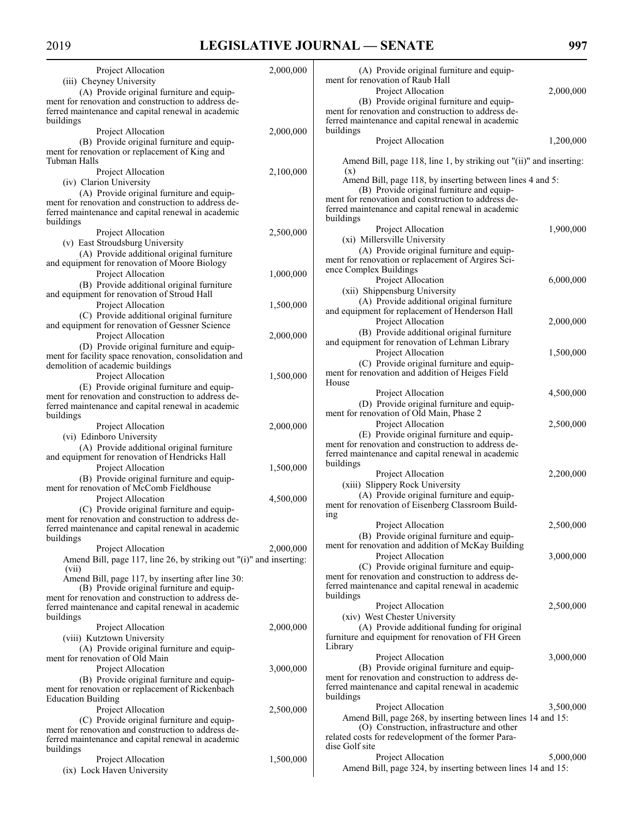$2,000,000$ 

1,200,000

1,900,000

 $6,000,000$ 

 $2,000,000$ 

 $1,500,000$ 

4,500,000

 $2,500,000$ 

Project Allocation 2,200,000

 $2,500,000$ 

 $3,000,000$ 

 $2,500,000$ 

 $3,000,000$ 

3,500,000

 $5,000,000$ 

| Project Allocation                                                                                        | 2,000,000 | (A) Provide original furniture and equip-                                                                 |           |
|-----------------------------------------------------------------------------------------------------------|-----------|-----------------------------------------------------------------------------------------------------------|-----------|
| (iii) Cheyney University                                                                                  |           | ment for renovation of Raub Hall                                                                          |           |
| (A) Provide original furniture and equip-<br>ment for renovation and construction to address de-          |           | Project Allocation<br>(B) Provide original furniture and equip-                                           | 2,000,000 |
| ferred maintenance and capital renewal in academic<br>buildings                                           |           | ment for renovation and construction to address de-<br>ferred maintenance and capital renewal in academic |           |
| Project Allocation                                                                                        | 2,000,000 | buildings                                                                                                 |           |
| (B) Provide original furniture and equip-<br>ment for renovation or replacement of King and               |           | Project Allocation                                                                                        | 1,200,000 |
| Tubman Halls                                                                                              |           | Amend Bill, page 118, line 1, by striking out "(ii)" and inserting:                                       |           |
| Project Allocation<br>(iv) Clarion University                                                             | 2,100,000 | (x)<br>Amend Bill, page 118, by inserting between lines 4 and 5:                                          |           |
| (A) Provide original furniture and equip-                                                                 |           | (B) Provide original furniture and equip-                                                                 |           |
| ment for renovation and construction to address de-                                                       |           | ment for renovation and construction to address de-                                                       |           |
| ferred maintenance and capital renewal in academic                                                        |           | ferred maintenance and capital renewal in academic<br>buildings                                           |           |
| buildings                                                                                                 |           | Project Allocation                                                                                        | 1,900,000 |
| Project Allocation<br>(v) East Stroudsburg University                                                     | 2,500,000 | (xi) Millersville University                                                                              |           |
| (A) Provide additional original furniture                                                                 |           | (A) Provide original furniture and equip-                                                                 |           |
| and equipment for renovation of Moore Biology                                                             |           | ment for renovation or replacement of Argires Sci-                                                        |           |
| Project Allocation                                                                                        | 1,000,000 | ence Complex Buildings                                                                                    |           |
| (B) Provide additional original furniture                                                                 |           | Project Allocation                                                                                        | 6,000,000 |
| and equipment for renovation of Stroud Hall                                                               |           | (xii) Shippensburg University<br>(A) Provide additional original furniture                                |           |
| Project Allocation                                                                                        | 1,500,000 | and equipment for replacement of Henderson Hall                                                           |           |
| (C) Provide additional original furniture<br>and equipment for renovation of Gessner Science              |           | Project Allocation                                                                                        | 2,000,000 |
| Project Allocation                                                                                        | 2,000,000 | (B) Provide additional original furniture                                                                 |           |
| (D) Provide original furniture and equip-                                                                 |           | and equipment for renovation of Lehman Library                                                            |           |
| ment for facility space renovation, consolidation and                                                     |           | Project Allocation                                                                                        | 1,500,000 |
| demolition of academic buildings                                                                          |           | (C) Provide original furniture and equip-                                                                 |           |
| Project Allocation                                                                                        | 1,500,000 | ment for renovation and addition of Heiges Field<br>House                                                 |           |
| (E) Provide original furniture and equip-                                                                 |           | Project Allocation                                                                                        | 4,500,000 |
| ment for renovation and construction to address de-<br>ferred maintenance and capital renewal in academic |           | (D) Provide original furniture and equip-                                                                 |           |
| buildings                                                                                                 |           | ment for renovation of Old Main, Phase 2                                                                  |           |
| Project Allocation                                                                                        | 2,000,000 | Project Allocation                                                                                        | 2,500,000 |
| (vi) Edinboro University                                                                                  |           | (E) Provide original furniture and equip-                                                                 |           |
| (A) Provide additional original furniture                                                                 |           | ment for renovation and construction to address de-<br>ferred maintenance and capital renewal in academic |           |
| and equipment for renovation of Hendricks Hall                                                            |           | buildings                                                                                                 |           |
| Project Allocation                                                                                        | 1,500,000 | Project Allocation                                                                                        | 2,200,000 |
| (B) Provide original furniture and equip-<br>ment for renovation of McComb Fieldhouse                     |           | (xiii) Slippery Rock University                                                                           |           |
| Project Allocation                                                                                        | 4,500,000 | (A) Provide original furniture and equip-                                                                 |           |
| (C) Provide original furniture and equip-                                                                 |           | ment for renovation of Eisenberg Classroom Build-                                                         |           |
| ment for renovation and construction to address de-                                                       |           | ing                                                                                                       | 2,500,000 |
| ferred maintenance and capital renewal in academic                                                        |           | Project Allocation<br>(B) Provide original furniture and equip-                                           |           |
| buildings<br>Project Allocation                                                                           | 2,000,000 | ment for renovation and addition of McKay Building                                                        |           |
| Amend Bill, page 117, line 26, by striking out "(i)" and inserting:                                       |           | Project Allocation                                                                                        | 3,000,000 |
| (vii)                                                                                                     |           | (C) Provide original furniture and equip-                                                                 |           |
| Amend Bill, page 117, by inserting after line 30:                                                         |           | ment for renovation and construction to address de-                                                       |           |
| (B) Provide original furniture and equip-                                                                 |           | ferred maintenance and capital renewal in academic<br>buildings                                           |           |
| ment for renovation and construction to address de-<br>ferred maintenance and capital renewal in academic |           | Project Allocation                                                                                        | 2,500,000 |
| buildings                                                                                                 |           | (xiv) West Chester University                                                                             |           |
| Project Allocation                                                                                        | 2,000,000 | (A) Provide additional funding for original                                                               |           |
| (viii) Kutztown University                                                                                |           | furniture and equipment for renovation of FH Green                                                        |           |
| (A) Provide original furniture and equip-                                                                 |           | Library                                                                                                   |           |
| ment for renovation of Old Main                                                                           |           | Project Allocation                                                                                        | 3,000,000 |
| Project Allocation                                                                                        | 3,000,000 | (B) Provide original furniture and equip-<br>ment for renovation and construction to address de-          |           |
| (B) Provide original furniture and equip-<br>ment for renovation or replacement of Rickenbach             |           | ferred maintenance and capital renewal in academic                                                        |           |
| <b>Education Building</b>                                                                                 |           | buildings                                                                                                 |           |
| Project Allocation                                                                                        | 2,500,000 | Project Allocation                                                                                        | 3,500,000 |
| (C) Provide original furniture and equip-                                                                 |           | Amend Bill, page 268, by inserting between lines 14 and 15:                                               |           |
| ment for renovation and construction to address de-                                                       |           | (O) Construction, infrastructure and other<br>related costs for redevelopment of the former Para-         |           |
| ferred maintenance and capital renewal in academic<br>buildings                                           |           | dise Golf site                                                                                            |           |
| Project Allocation                                                                                        | 1,500,000 | Project Allocation                                                                                        | 5,000,000 |
| (ix) Lock Haven University                                                                                |           | Amend Bill, page 324, by inserting between lines 14 and 15:                                               |           |
|                                                                                                           |           |                                                                                                           |           |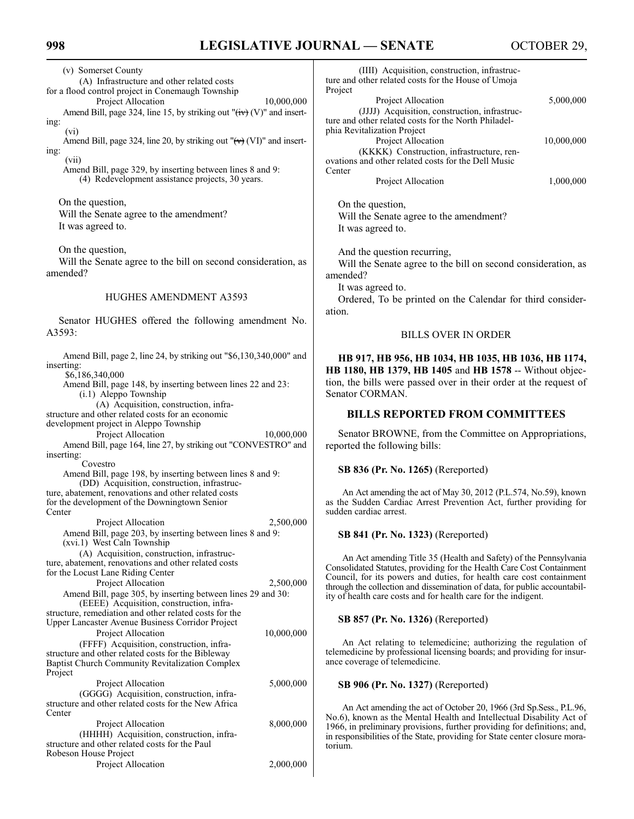(A) Infrastructure and other related costs for a flood control project in Conemaugh Township Project Allocation 10,000,000 Amend Bill, page 324, line 15, by striking out " $(iv)$  (V)" and inserting: (vi) Amend Bill, page 324, line 20, by striking out " $(v)$  (VI)" and inserting: (vii) Amend Bill, page 329, by inserting between lines 8 and 9: (4) Redevelopment assistance projects, 30 years. On the question, Will the Senate agree to the amendment? It was agreed to. On the question, Will the Senate agree to the bill on second consideration, as amended? HUGHES AMENDMENT A3593 Senator HUGHES offered the following amendment No. A3593: Amend Bill, page 2, line 24, by striking out "\$6,130,340,000" and inserting: \$6,186,340,000 Amend Bill, page 148, by inserting between lines 22 and 23: (i.1) Aleppo Township (A) Acquisition, construction, infrastructure and other related costs for an economic development project in Aleppo Township Project Allocation 10,000,000 Amend Bill, page 164, line 27, by striking out "CONVESTRO" and inserting: Covestro Amend Bill, page 198, by inserting between lines 8 and 9: (DD) Acquisition, construction, infrastructure, abatement, renovations and other related costs for the development of the Downingtown Senior Center Project Allocation 2,500,000 Amend Bill, page 203, by inserting between lines 8 and 9: (xvi.1) West Caln Township (A) Acquisition, construction, infrastructure, abatement, renovations and other related costs for the Locust Lane Riding Center Project Allocation 2,500,000 Amend Bill, page 305, by inserting between lines 29 and 30: (EEEE) Acquisition, construction, infrastructure, remediation and other related costs for the Upper Lancaster Avenue Business Corridor Project Project Allocation 10,000,000 (FFFF) Acquisition, construction, infrastructure and other related costs for the Bibleway Baptist Church Community Revitalization Complex Project Project Allocation 5,000,000 (GGGG) Acquisition, construction, infrastructure and other related costs for the New Africa **Center** Project Allocation 8,000,000 (HHHH) Acquisition, construction, infrastructure and other related costs for the Paul Robeson House Project Project Allocation 2,000,000

| (IIII) Acquisition, construction, infrastruc-<br>ture and other related costs for the House of Umoja<br>Project |            |
|-----------------------------------------------------------------------------------------------------------------|------------|
| Project Allocation                                                                                              | 5,000,000  |
| (JJJJ) Acquisition, construction, infrastruc-                                                                   |            |
| ture and other related costs for the North Philadel-                                                            |            |
| phia Revitalization Project                                                                                     |            |
| Project Allocation                                                                                              | 10,000,000 |
| (KKKK) Construction, infrastructure, ren-<br>ovations and other related costs for the Dell Music                |            |
| Center                                                                                                          |            |
| Project Allocation                                                                                              | 1,000,000  |
| On the question,                                                                                                |            |

Will the Senate agree to the amendment? It was agreed to.

And the question recurring,

Will the Senate agree to the bill on second consideration, as amended?

It was agreed to.

Ordered, To be printed on the Calendar for third consideration.

#### BILLS OVER IN ORDER

**HB 917, HB 956, HB 1034, HB 1035, HB 1036, HB 1174, HB 1180, HB 1379, HB 1405** and **HB 1578** -- Without objection, the bills were passed over in their order at the request of Senator CORMAN.

# **BILLS REPORTED FROM COMMITTEES**

Senator BROWNE, from the Committee on Appropriations, reported the following bills:

#### **SB 836 (Pr. No. 1265)** (Rereported)

An Act amending the act of May 30, 2012 (P.L.574, No.59), known as the Sudden Cardiac Arrest Prevention Act, further providing for sudden cardiac arrest.

#### **SB 841 (Pr. No. 1323)** (Rereported)

An Act amending Title 35 (Health and Safety) of the Pennsylvania Consolidated Statutes, providing for the Health Care Cost Containment Council, for its powers and duties, for health care cost containment through the collection and dissemination of data, for public accountability of health care costs and for health care for the indigent.

#### **SB 857 (Pr. No. 1326)** (Rereported)

An Act relating to telemedicine; authorizing the regulation of telemedicine by professional licensing boards; and providing for insurance coverage of telemedicine.

#### **SB 906 (Pr. No. 1327)** (Rereported)

An Act amending the act of October 20, 1966 (3rd Sp.Sess., P.L.96, No.6), known as the Mental Health and Intellectual Disability Act of 1966, in preliminary provisions, further providing for definitions; and, in responsibilities of the State, providing for State center closure moratorium.

(v) Somerset County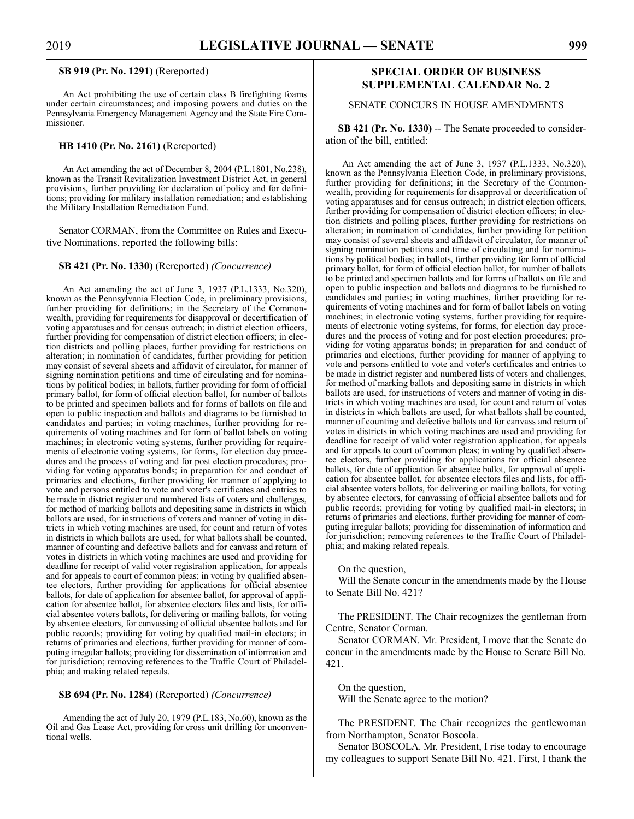#### **SB 919 (Pr. No. 1291)** (Rereported)

An Act prohibiting the use of certain class B firefighting foams under certain circumstances; and imposing powers and duties on the Pennsylvania Emergency Management Agency and the State Fire Commissioner.

#### **HB 1410 (Pr. No. 2161)** (Rereported)

An Act amending the act of December 8, 2004 (P.L.1801, No.238), known as the Transit Revitalization Investment District Act, in general provisions, further providing for declaration of policy and for definitions; providing for military installation remediation; and establishing the Military Installation Remediation Fund.

Senator CORMAN, from the Committee on Rules and Executive Nominations, reported the following bills:

#### **SB 421 (Pr. No. 1330)** (Rereported) *(Concurrence)*

An Act amending the act of June 3, 1937 (P.L.1333, No.320), known as the Pennsylvania Election Code, in preliminary provisions, further providing for definitions; in the Secretary of the Commonwealth, providing for requirements for disapproval or decertification of voting apparatuses and for census outreach; in district election officers, further providing for compensation of district election officers; in election districts and polling places, further providing for restrictions on alteration; in nomination of candidates, further providing for petition may consist of several sheets and affidavit of circulator, for manner of signing nomination petitions and time of circulating and for nominations by political bodies; in ballots, further providing for form of official primary ballot, for form of official election ballot, for number of ballots to be printed and specimen ballots and for forms of ballots on file and open to public inspection and ballots and diagrams to be furnished to candidates and parties; in voting machines, further providing for requirements of voting machines and for form of ballot labels on voting machines; in electronic voting systems, further providing for requirements of electronic voting systems, for forms, for election day procedures and the process of voting and for post election procedures; providing for voting apparatus bonds; in preparation for and conduct of primaries and elections, further providing for manner of applying to vote and persons entitled to vote and voter's certificates and entries to be made in district register and numbered lists of voters and challenges, for method of marking ballots and depositing same in districts in which ballots are used, for instructions of voters and manner of voting in districts in which voting machines are used, for count and return of votes in districts in which ballots are used, for what ballots shall be counted, manner of counting and defective ballots and for canvass and return of votes in districts in which voting machines are used and providing for deadline for receipt of valid voter registration application, for appeals and for appeals to court of common pleas; in voting by qualified absentee electors, further providing for applications for official absentee ballots, for date of application for absentee ballot, for approval of application for absentee ballot, for absentee electors files and lists, for official absentee voters ballots, for delivering or mailing ballots, for voting by absentee electors, for canvassing of official absentee ballots and for public records; providing for voting by qualified mail-in electors; in returns of primaries and elections, further providing for manner of computing irregular ballots; providing for dissemination of information and for jurisdiction; removing references to the Traffic Court of Philadelphia; and making related repeals.

#### **SB 694 (Pr. No. 1284)** (Rereported) *(Concurrence)*

Amending the act of July 20, 1979 (P.L.183, No.60), known as the Oil and Gas Lease Act, providing for cross unit drilling for unconventional wells.

# **SPECIAL ORDER OF BUSINESS SUPPLEMENTAL CALENDAR No. 2**

#### SENATE CONCURS IN HOUSE AMENDMENTS

**SB 421 (Pr. No. 1330)** -- The Senate proceeded to consideration of the bill, entitled:

An Act amending the act of June 3, 1937 (P.L.1333, No.320), known as the Pennsylvania Election Code, in preliminary provisions, further providing for definitions; in the Secretary of the Commonwealth, providing for requirements for disapproval or decertification of voting apparatuses and for census outreach; in district election officers, further providing for compensation of district election officers; in election districts and polling places, further providing for restrictions on alteration; in nomination of candidates, further providing for petition may consist of several sheets and affidavit of circulator, for manner of signing nomination petitions and time of circulating and for nominations by political bodies; in ballots, further providing for form of official primary ballot, for form of official election ballot, for number of ballots to be printed and specimen ballots and for forms of ballots on file and open to public inspection and ballots and diagrams to be furnished to candidates and parties; in voting machines, further providing for requirements of voting machines and for form of ballot labels on voting machines; in electronic voting systems, further providing for requirements of electronic voting systems, for forms, for election day procedures and the process of voting and for post election procedures; providing for voting apparatus bonds; in preparation for and conduct of primaries and elections, further providing for manner of applying to vote and persons entitled to vote and voter's certificates and entries to be made in district register and numbered lists of voters and challenges, for method of marking ballots and depositing same in districts in which ballots are used, for instructions of voters and manner of voting in districts in which voting machines are used, for count and return of votes in districts in which ballots are used, for what ballots shall be counted, manner of counting and defective ballots and for canvass and return of votes in districts in which voting machines are used and providing for deadline for receipt of valid voter registration application, for appeals and for appeals to court of common pleas; in voting by qualified absentee electors, further providing for applications for official absentee ballots, for date of application for absentee ballot, for approval of application for absentee ballot, for absentee electors files and lists, for official absentee voters ballots, for delivering or mailing ballots, for voting by absentee electors, for canvassing of official absentee ballots and for public records; providing for voting by qualified mail-in electors; in returns of primaries and elections, further providing for manner of computing irregular ballots; providing for dissemination of information and for jurisdiction; removing references to the Traffic Court of Philadelphia; and making related repeals.

#### On the question,

Will the Senate concur in the amendments made by the House to Senate Bill No. 421?

The PRESIDENT. The Chair recognizes the gentleman from Centre, Senator Corman.

Senator CORMAN. Mr. President, I move that the Senate do concur in the amendments made by the House to Senate Bill No. 421.

On the question, Will the Senate agree to the motion?

The PRESIDENT. The Chair recognizes the gentlewoman from Northampton, Senator Boscola.

Senator BOSCOLA. Mr. President, I rise today to encourage my colleagues to support Senate Bill No. 421. First, I thank the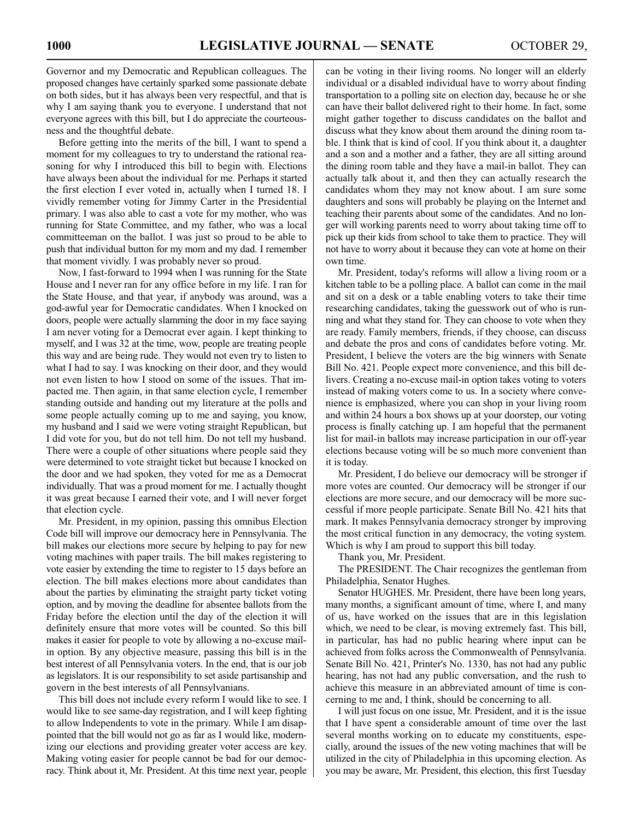Governor and my Democratic and Republican colleagues. The proposed changes have certainly sparked some passionate debate on both sides, but it has always been very respectful, and that is why I am saying thank you to everyone. I understand that not everyone agrees with this bill, but I do appreciate the courteousness and the thoughtful debate.

Before getting into the merits of the bill, I want to spend a moment for my colleagues to try to understand the rational reasoning for why I introduced this bill to begin with. Elections have always been about the individual for me. Perhaps it started the first election I ever voted in, actually when I turned 18. I vividly remember voting for Jimmy Carter in the Presidential primary. I was also able to cast a vote for my mother, who was running for State Committee, and my father, who was a local committeeman on the ballot. I was just so proud to be able to push that individual button for my mom and my dad. I remember that moment vividly. I was probably never so proud.

Now, I fast-forward to 1994 when I was running for the State House and I never ran for any office before in my life. I ran for the State House, and that year, if anybody was around, was a god-awful year for Democratic candidates. When I knocked on doors, people were actually slamming the door in my face saying I am never voting for a Democrat ever again. I kept thinking to myself, and I was 32 at the time, wow, people are treating people this way and are being rude. They would not even try to listen to what I had to say. I was knocking on their door, and they would not even listen to how I stood on some of the issues. That impacted me. Then again, in that same election cycle, I remember standing outside and handing out my literature at the polls and some people actually coming up to me and saying, you know, my husband and I said we were voting straight Republican, but I did vote for you, but do not tell him. Do not tell my husband. There were a couple of other situations where people said they were determined to vote straight ticket but because I knocked on the door and we had spoken, they voted for me as a Democrat individually. That was a proud moment for me. I actually thought it was great because I earned their vote, and I will never forget that election cycle.

Mr. President, in my opinion, passing this omnibus Election Code bill will improve our democracy here in Pennsylvania. The bill makes our elections more secure by helping to pay for new voting machines with paper trails. The bill makes registering to vote easier by extending the time to register to 15 days before an election. The bill makes elections more about candidates than about the parties by eliminating the straight party ticket voting option, and by moving the deadline for absentee ballots from the Friday before the election until the day of the election it will definitely ensure that more votes will be counted. So this bill makes it easier for people to vote by allowing a no-excuse mailin option. By any objective measure, passing this bill is in the best interest of all Pennsylvania voters. In the end, that is our job as legislators. It is our responsibility to set aside partisanship and govern in the best interests of all Pennsylvanians.

This bill does not include every reform I would like to see. I would like to see same-day registration, and I will keep fighting to allow Independents to vote in the primary. While I am disappointed that the bill would not go as far as I would like, modernizing our elections and providing greater voter access are key. Making voting easier for people cannot be bad for our democracy. Think about it, Mr. President. At this time next year, people can be voting in their living rooms. No longer will an elderly individual or a disabled individual have to worry about finding transportation to a polling site on election day, because he or she can have their ballot delivered right to their home. In fact, some might gather together to discuss candidates on the ballot and discuss what they know about them around the dining room table. I think that is kind of cool. If you think about it, a daughter and a son and a mother and a father, they are all sitting around the dining room table and they have a mail-in ballot. They can actually talk about it, and then they can actually research the candidates whom they may not know about. I am sure some daughters and sons will probably be playing on the Internet and teaching their parents about some of the candidates. And no longer will working parents need to worry about taking time off to pick up their kids from school to take them to practice. They will not have to worry about it because they can vote at home on their own time.

Mr. President, today's reforms will allow a living room or a kitchen table to be a polling place. A ballot can come in the mail and sit on a desk or a table enabling voters to take their time researching candidates, taking the guesswork out of who is running and what they stand for. They can choose to vote when they are ready. Family members, friends, if they choose, can discuss and debate the pros and cons of candidates before voting. Mr. President, I believe the voters are the big winners with Senate Bill No. 421. People expect more convenience, and this bill delivers. Creating a no-excuse mail-in option takes voting to voters instead of making voters come to us. In a society where convenience is emphasized, where you can shop in your living room and within 24 hours a box shows up at your doorstep, our voting process is finally catching up. I am hopeful that the permanent list for mail-in ballots may increase participation in our off-year elections because voting will be so much more convenient than it is today.

Mr. President, I do believe our democracy will be stronger if more votes are counted. Our democracy will be stronger if our elections are more secure, and our democracy will be more successful if more people participate. Senate Bill No. 421 hits that mark. It makes Pennsylvania democracy stronger by improving the most critical function in any democracy, the voting system. Which is why I am proud to support this bill today.

Thank you, Mr. President.

The PRESIDENT. The Chair recognizes the gentleman from Philadelphia, Senator Hughes.

Senator HUGHES. Mr. President, there have been long years, many months, a significant amount of time, where I, and many of us, have worked on the issues that are in this legislation which, we need to be clear, is moving extremely fast. This bill, in particular, has had no public hearing where input can be achieved from folks across the Commonwealth of Pennsylvania. Senate Bill No. 421, Printer's No. 1330, has not had any public hearing, has not had any public conversation, and the rush to achieve this measure in an abbreviated amount of time is concerning to me and, I think, should be concerning to all.

I will just focus on one issue, Mr. President, and it is the issue that I have spent a considerable amount of time over the last several months working on to educate my constituents, especially, around the issues of the new voting machines that will be utilized in the city of Philadelphia in this upcoming election. As you may be aware, Mr. President, this election, this first Tuesday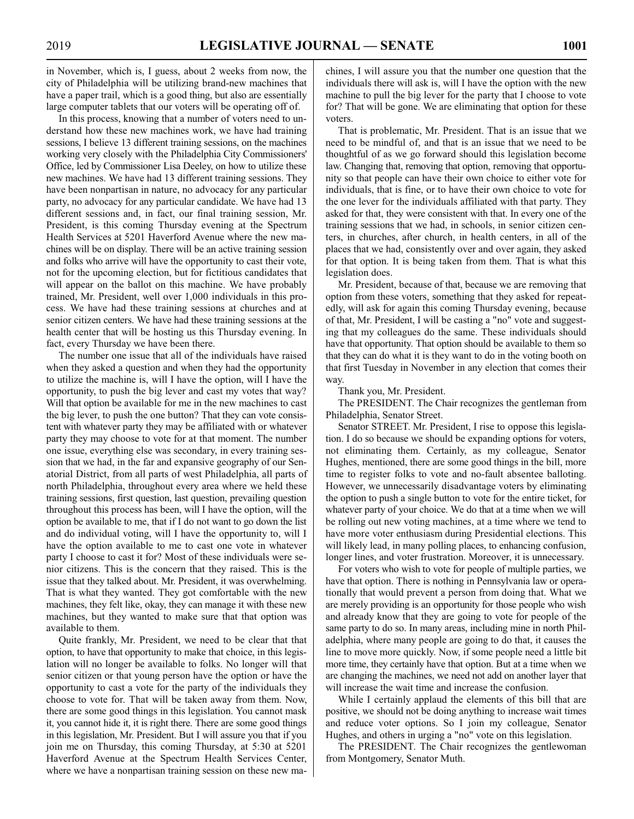in November, which is, I guess, about 2 weeks from now, the city of Philadelphia will be utilizing brand-new machines that have a paper trail, which is a good thing, but also are essentially large computer tablets that our voters will be operating off of.

In this process, knowing that a number of voters need to understand how these new machines work, we have had training sessions, I believe 13 different training sessions, on the machines working very closely with the Philadelphia City Commissioners' Office, led by Commissioner Lisa Deeley, on how to utilize these new machines. We have had 13 different training sessions. They have been nonpartisan in nature, no advocacy for any particular party, no advocacy for any particular candidate. We have had 13 different sessions and, in fact, our final training session, Mr. President, is this coming Thursday evening at the Spectrum Health Services at 5201 Haverford Avenue where the new machines will be on display. There will be an active training session and folks who arrive will have the opportunity to cast their vote, not for the upcoming election, but for fictitious candidates that will appear on the ballot on this machine. We have probably trained, Mr. President, well over 1,000 individuals in this process. We have had these training sessions at churches and at senior citizen centers. We have had these training sessions at the health center that will be hosting us this Thursday evening. In fact, every Thursday we have been there.

The number one issue that all of the individuals have raised when they asked a question and when they had the opportunity to utilize the machine is, will I have the option, will I have the opportunity, to push the big lever and cast my votes that way? Will that option be available for me in the new machines to cast the big lever, to push the one button? That they can vote consistent with whatever party they may be affiliated with or whatever party they may choose to vote for at that moment. The number one issue, everything else was secondary, in every training session that we had, in the far and expansive geography of our Senatorial District, from all parts of west Philadelphia, all parts of north Philadelphia, throughout every area where we held these training sessions, first question, last question, prevailing question throughout this process has been, will I have the option, will the option be available to me, that if I do not want to go down the list and do individual voting, will I have the opportunity to, will I have the option available to me to cast one vote in whatever party I choose to cast it for? Most of these individuals were senior citizens. This is the concern that they raised. This is the issue that they talked about. Mr. President, it was overwhelming. That is what they wanted. They got comfortable with the new machines, they felt like, okay, they can manage it with these new machines, but they wanted to make sure that that option was available to them.

Quite frankly, Mr. President, we need to be clear that that option, to have that opportunity to make that choice, in this legislation will no longer be available to folks. No longer will that senior citizen or that young person have the option or have the opportunity to cast a vote for the party of the individuals they choose to vote for. That will be taken away from them. Now, there are some good things in this legislation. You cannot mask it, you cannot hide it, it is right there. There are some good things in this legislation, Mr. President. But I will assure you that if you join me on Thursday, this coming Thursday, at 5:30 at 5201 Haverford Avenue at the Spectrum Health Services Center, where we have a nonpartisan training session on these new machines, I will assure you that the number one question that the individuals there will ask is, will I have the option with the new machine to pull the big lever for the party that I choose to vote for? That will be gone. We are eliminating that option for these voters.

That is problematic, Mr. President. That is an issue that we need to be mindful of, and that is an issue that we need to be thoughtful of as we go forward should this legislation become law. Changing that, removing that option, removing that opportunity so that people can have their own choice to either vote for individuals, that is fine, or to have their own choice to vote for the one lever for the individuals affiliated with that party. They asked for that, they were consistent with that. In every one of the training sessions that we had, in schools, in senior citizen centers, in churches, after church, in health centers, in all of the places that we had, consistently over and over again, they asked for that option. It is being taken from them. That is what this legislation does.

Mr. President, because of that, because we are removing that option from these voters, something that they asked for repeatedly, will ask for again this coming Thursday evening, because of that, Mr. President, I will be casting a "no" vote and suggesting that my colleagues do the same. These individuals should have that opportunity. That option should be available to them so that they can do what it is they want to do in the voting booth on that first Tuesday in November in any election that comes their way.

Thank you, Mr. President.

The PRESIDENT. The Chair recognizes the gentleman from Philadelphia, Senator Street.

Senator STREET. Mr. President, I rise to oppose this legislation. I do so because we should be expanding options for voters, not eliminating them. Certainly, as my colleague, Senator Hughes, mentioned, there are some good things in the bill, more time to register folks to vote and no-fault absentee balloting. However, we unnecessarily disadvantage voters by eliminating the option to push a single button to vote for the entire ticket, for whatever party of your choice. We do that at a time when we will be rolling out new voting machines, at a time where we tend to have more voter enthusiasm during Presidential elections. This will likely lead, in many polling places, to enhancing confusion, longer lines, and voter frustration. Moreover, it is unnecessary.

For voters who wish to vote for people of multiple parties, we have that option. There is nothing in Pennsylvania law or operationally that would prevent a person from doing that. What we are merely providing is an opportunity for those people who wish and already know that they are going to vote for people of the same party to do so. In many areas, including mine in north Philadelphia, where many people are going to do that, it causes the line to move more quickly. Now, if some people need a little bit more time, they certainly have that option. But at a time when we are changing the machines, we need not add on another layer that will increase the wait time and increase the confusion.

While I certainly applaud the elements of this bill that are positive, we should not be doing anything to increase wait times and reduce voter options. So I join my colleague, Senator Hughes, and others in urging a "no" vote on this legislation.

The PRESIDENT. The Chair recognizes the gentlewoman from Montgomery, Senator Muth.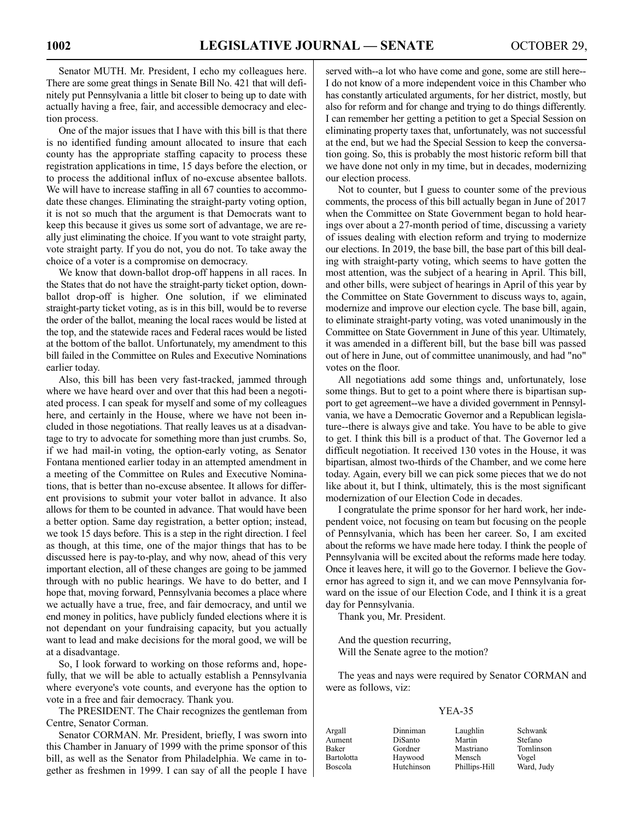Senator MUTH. Mr. President, I echo my colleagues here. There are some great things in Senate Bill No. 421 that will definitely put Pennsylvania a little bit closer to being up to date with actually having a free, fair, and accessible democracy and election process.

One of the major issues that I have with this bill is that there is no identified funding amount allocated to insure that each county has the appropriate staffing capacity to process these registration applications in time, 15 days before the election, or to process the additional influx of no-excuse absentee ballots. We will have to increase staffing in all 67 counties to accommodate these changes. Eliminating the straight-party voting option, it is not so much that the argument is that Democrats want to keep this because it gives us some sort of advantage, we are really just eliminating the choice. If you want to vote straight party, vote straight party. If you do not, you do not. To take away the choice of a voter is a compromise on democracy.

We know that down-ballot drop-off happens in all races. In the States that do not have the straight-party ticket option, downballot drop-off is higher. One solution, if we eliminated straight-party ticket voting, as is in this bill, would be to reverse the order of the ballot, meaning the local races would be listed at the top, and the statewide races and Federal races would be listed at the bottom of the ballot. Unfortunately, my amendment to this bill failed in the Committee on Rules and Executive Nominations earlier today.

Also, this bill has been very fast-tracked, jammed through where we have heard over and over that this had been a negotiated process. I can speak for myself and some of my colleagues here, and certainly in the House, where we have not been included in those negotiations. That really leaves us at a disadvantage to try to advocate for something more than just crumbs. So, if we had mail-in voting, the option-early voting, as Senator Fontana mentioned earlier today in an attempted amendment in a meeting of the Committee on Rules and Executive Nominations, that is better than no-excuse absentee. It allows for different provisions to submit your voter ballot in advance. It also allows for them to be counted in advance. That would have been a better option. Same day registration, a better option; instead, we took 15 days before. This is a step in the right direction. I feel as though, at this time, one of the major things that has to be discussed here is pay-to-play, and why now, ahead of this very important election, all of these changes are going to be jammed through with no public hearings. We have to do better, and I hope that, moving forward, Pennsylvania becomes a place where we actually have a true, free, and fair democracy, and until we end money in politics, have publicly funded elections where it is not dependant on your fundraising capacity, but you actually want to lead and make decisions for the moral good, we will be at a disadvantage.

So, I look forward to working on those reforms and, hopefully, that we will be able to actually establish a Pennsylvania where everyone's vote counts, and everyone has the option to vote in a free and fair democracy. Thank you.

The PRESIDENT. The Chair recognizes the gentleman from Centre, Senator Corman.

Senator CORMAN. Mr. President, briefly, I was sworn into this Chamber in January of 1999 with the prime sponsor of this bill, as well as the Senator from Philadelphia. We came in together as freshmen in 1999. I can say of all the people I have served with--a lot who have come and gone, some are still here-- I do not know of a more independent voice in this Chamber who has constantly articulated arguments, for her district, mostly, but also for reform and for change and trying to do things differently. I can remember her getting a petition to get a Special Session on eliminating property taxes that, unfortunately, was not successful at the end, but we had the Special Session to keep the conversation going. So, this is probably the most historic reform bill that we have done not only in my time, but in decades, modernizing our election process.

Not to counter, but I guess to counter some of the previous comments, the process of this bill actually began in June of 2017 when the Committee on State Government began to hold hearings over about a 27-month period of time, discussing a variety of issues dealing with election reform and trying to modernize our elections. In 2019, the base bill, the base part of this bill dealing with straight-party voting, which seems to have gotten the most attention, was the subject of a hearing in April. This bill, and other bills, were subject of hearings in April of this year by the Committee on State Government to discuss ways to, again, modernize and improve our election cycle. The base bill, again, to eliminate straight-party voting, was voted unanimously in the Committee on State Government in June of this year. Ultimately, it was amended in a different bill, but the base bill was passed out of here in June, out of committee unanimously, and had "no" votes on the floor.

All negotiations add some things and, unfortunately, lose some things. But to get to a point where there is bipartisan support to get agreement--we have a divided government in Pennsylvania, we have a Democratic Governor and a Republican legislature--there is always give and take. You have to be able to give to get. I think this bill is a product of that. The Governor led a difficult negotiation. It received 130 votes in the House, it was bipartisan, almost two-thirds of the Chamber, and we come here today. Again, every bill we can pick some pieces that we do not like about it, but I think, ultimately, this is the most significant modernization of our Election Code in decades.

I congratulate the prime sponsor for her hard work, her independent voice, not focusing on team but focusing on the people of Pennsylvania, which has been her career. So, I am excited about the reforms we have made here today. I think the people of Pennsylvania will be excited about the reforms made here today. Once it leaves here, it will go to the Governor. I believe the Governor has agreed to sign it, and we can move Pennsylvania forward on the issue of our Election Code, and I think it is a great day for Pennsylvania.

Thank you, Mr. President.

And the question recurring, Will the Senate agree to the motion?

The yeas and nays were required by Senator CORMAN and were as follows, viz:

# YEA-35

| Argall     | Dinniman   | Laughlin      | Schwank    |
|------------|------------|---------------|------------|
| Aument     | DiSanto    | Martin        | Stefano    |
| Baker      | Gordner    | Mastriano     | Tomlinson  |
| Bartolotta | Haywood    | Mensch        | Vogel      |
| Boscola    | Hutchinson | Phillips-Hill | Ward, Judy |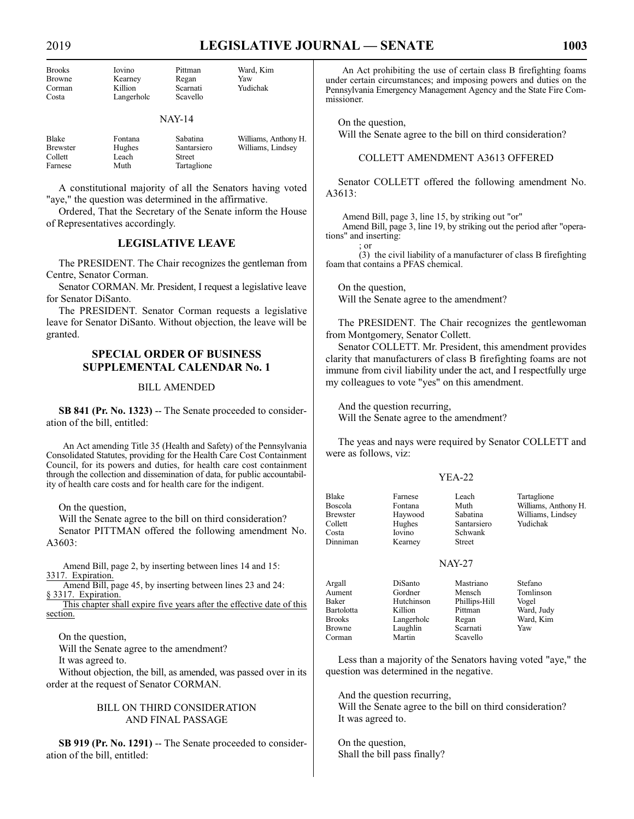| <b>Brooks</b>   | Iovino     | Pittman     | Ward, Kim            |
|-----------------|------------|-------------|----------------------|
| Browne          | Kearney    | Regan       | Yaw                  |
| Corman          | Killion    | Scarnati    | Yudichak             |
| Costa           | Langerholc | Scavello    |                      |
|                 |            | NAY-14      |                      |
| <b>Blake</b>    | Fontana    | Sabatina    | Williams, Anthony H. |
| <b>Brewster</b> | Hughes     | Santarsiero | Williams, Lindsey    |

Collett Leach Street<br>
Farnese Muth Tartag

A constitutional majority of all the Senators having voted "aye," the question was determined in the affirmative.

Tartaglione

Ordered, That the Secretary of the Senate inform the House of Representatives accordingly.

#### **LEGISLATIVE LEAVE**

The PRESIDENT. The Chair recognizes the gentleman from Centre, Senator Corman.

Senator CORMAN. Mr. President, I request a legislative leave for Senator DiSanto.

The PRESIDENT. Senator Corman requests a legislative leave for Senator DiSanto. Without objection, the leave will be granted.

# **SPECIAL ORDER OF BUSINESS SUPPLEMENTAL CALENDAR No. 1**

#### BILL AMENDED

**SB 841 (Pr. No. 1323)** -- The Senate proceeded to consideration of the bill, entitled:

An Act amending Title 35 (Health and Safety) of the Pennsylvania Consolidated Statutes, providing for the Health Care Cost Containment Council, for its powers and duties, for health care cost containment through the collection and dissemination of data, for public accountability of health care costs and for health care for the indigent.

On the question,

Will the Senate agree to the bill on third consideration? Senator PITTMAN offered the following amendment No. A3603:

Amend Bill, page 2, by inserting between lines 14 and 15: 3317. Expiration.

Amend Bill, page 45, by inserting between lines 23 and 24: § 3317. Expiration.

This chapter shall expire five years after the effective date of this section.

On the question,

Will the Senate agree to the amendment?

It was agreed to.

Without objection, the bill, as amended, was passed over in its order at the request of Senator CORMAN.

# BILL ON THIRD CONSIDERATION AND FINAL PASSAGE

**SB 919 (Pr. No. 1291)** -- The Senate proceeded to consideration of the bill, entitled:

An Act prohibiting the use of certain class B firefighting foams under certain circumstances; and imposing powers and duties on the Pennsylvania Emergency Management Agency and the State Fire Commissioner.

On the question,

Will the Senate agree to the bill on third consideration?

#### COLLETT AMENDMENT A3613 OFFERED

Senator COLLETT offered the following amendment No. A3613:

Amend Bill, page 3, line 15, by striking out "or"

Amend Bill, page 3, line 19, by striking out the period after "operations" and inserting:

; or

(3) the civil liability of a manufacturer of class B firefighting foam that contains a PFAS chemical.

On the question, Will the Senate agree to the amendment?

The PRESIDENT. The Chair recognizes the gentlewoman from Montgomery, Senator Collett.

Senator COLLETT. Mr. President, this amendment provides clarity that manufacturers of class B firefighting foams are not immune from civil liability under the act, and I respectfully urge my colleagues to vote "yes" on this amendment.

And the question recurring, Will the Senate agree to the amendment?

The yeas and nays were required by Senator COLLETT and were as follows, viz:

#### YEA-22

| <b>Blake</b>    | Farnese | Leach         |
|-----------------|---------|---------------|
| Boscola         | Fontana | Muth          |
| <b>Brewster</b> | Haywood | Sabatina      |
| Collett         | Hughes  | Santarsiero   |
| Costa           | Iovino  | Schwank       |
| Dinniman        | Kearney | <b>Street</b> |

Blake Farnese Leach Tartaglione Schwank

Boscola Fontana Muth Williams, Anthony H. Brewster Haywood Sabatina Williams, Lindsey<br>
Collett Hughes Santarsiero Yudichak

#### NAY-27

| Argall        | DiSanto    | Mastriano     | Stefano    |
|---------------|------------|---------------|------------|
| Aument        | Gordner    | Mensch        | Tomlinson  |
| Baker         | Hutchinson | Phillips-Hill | Vogel      |
| Bartolotta    | Killion    | Pittman       | Ward, Judy |
| <b>Brooks</b> | Langerholc | Regan         | Ward, Kim  |
| <b>Browne</b> | Laughlin   | Scarnati      | Yaw        |
| Corman        | Martin     | Scavello      |            |

Phillips-Hill Vogel Scarnati Yaw

Less than a majority of the Senators having voted "aye," the question was determined in the negative.

And the question recurring, Will the Senate agree to the bill on third consideration? It was agreed to.

On the question, Shall the bill pass finally?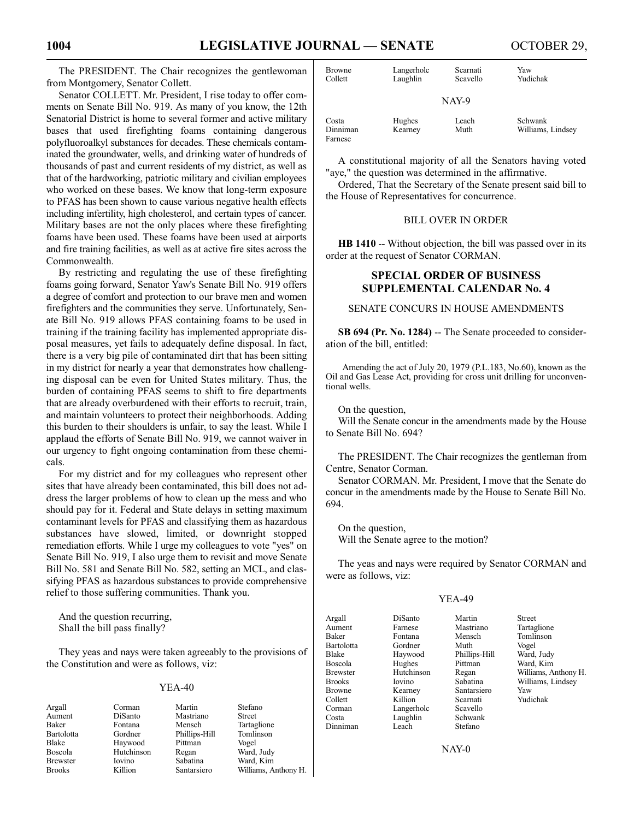The PRESIDENT. The Chair recognizes the gentlewoman from Montgomery, Senator Collett.

Senator COLLETT. Mr. President, I rise today to offer comments on Senate Bill No. 919. As many of you know, the 12th Senatorial District is home to several former and active military bases that used firefighting foams containing dangerous polyfluoroalkyl substances for decades. These chemicals contaminated the groundwater, wells, and drinking water of hundreds of thousands of past and current residents of my district, as well as that of the hardworking, patriotic military and civilian employees who worked on these bases. We know that long-term exposure to PFAS has been shown to cause various negative health effects including infertility, high cholesterol, and certain types of cancer. Military bases are not the only places where these firefighting foams have been used. These foams have been used at airports and fire training facilities, as well as at active fire sites across the Commonwealth.

By restricting and regulating the use of these firefighting foams going forward, Senator Yaw's Senate Bill No. 919 offers a degree of comfort and protection to our brave men and women firefighters and the communities they serve. Unfortunately, Senate Bill No. 919 allows PFAS containing foams to be used in training if the training facility has implemented appropriate disposal measures, yet fails to adequately define disposal. In fact, there is a very big pile of contaminated dirt that has been sitting in my district for nearly a year that demonstrates how challenging disposal can be even for United States military. Thus, the burden of containing PFAS seems to shift to fire departments that are already overburdened with their efforts to recruit, train, and maintain volunteers to protect their neighborhoods. Adding this burden to their shoulders is unfair, to say the least. While I applaud the efforts of Senate Bill No. 919, we cannot waiver in our urgency to fight ongoing contamination from these chemicals.

For my district and for my colleagues who represent other sites that have already been contaminated, this bill does not address the larger problems of how to clean up the mess and who should pay for it. Federal and State delays in setting maximum contaminant levels for PFAS and classifying them as hazardous substances have slowed, limited, or downright stopped remediation efforts. While I urge my colleagues to vote "yes" on Senate Bill No. 919, I also urge them to revisit and move Senate Bill No. 581 and Senate Bill No. 582, setting an MCL, and classifying PFAS as hazardous substances to provide comprehensive relief to those suffering communities. Thank you.

And the question recurring, Shall the bill pass finally?

They yeas and nays were taken agreeably to the provisions of the Constitution and were as follows, viz:

#### YEA-40

Aument DiSanto Mastriano Street Baker Fontana Mensch Tartaglione<br>Bartolotta Gordner Phillips-Hill Tomlinson Bartolotta Gordner Phillips-Hill Tomlinson Boscola Hutchinson Regan Ward, Judy Brewster Iovino Sabatina Ward, Kim

Argall Corman Martin Stefano Haywood Pittman Vogel

Williams, Anthony H.

| <b>Browne</b><br>Collett     | Langerholc<br>Laughlin | Scarnati<br>Scavello | Yaw<br>Yudichak              |
|------------------------------|------------------------|----------------------|------------------------------|
|                              |                        | NAY-9                |                              |
| Costa<br>Dinniman<br>Farnese | Hughes<br>Kearney      | Leach<br>Muth        | Schwank<br>Williams, Lindsey |

A constitutional majority of all the Senators having voted "aye," the question was determined in the affirmative.

Ordered, That the Secretary of the Senate present said bill to the House of Representatives for concurrence.

#### BILL OVER IN ORDER

**HB 1410** -- Without objection, the bill was passed over in its order at the request of Senator CORMAN.

# **SPECIAL ORDER OF BUSINESS SUPPLEMENTAL CALENDAR No. 4**

SENATE CONCURS IN HOUSE AMENDMENTS

**SB 694 (Pr. No. 1284)** -- The Senate proceeded to consideration of the bill, entitled:

Amending the act of July 20, 1979 (P.L.183, No.60), known as the Oil and Gas Lease Act, providing for cross unit drilling for unconventional wells.

On the question,

Will the Senate concur in the amendments made by the House to Senate Bill No. 694?

The PRESIDENT. The Chair recognizes the gentleman from Centre, Senator Corman.

Senator CORMAN. Mr. President, I move that the Senate do concur in the amendments made by the House to Senate Bill No. 694.

On the question,

Will the Senate agree to the motion?

The yeas and nays were required by Senator CORMAN and were as follows, viz:

#### YEA-49

| Argall            | DiSanto       | Martin        | <b>Street</b>        |
|-------------------|---------------|---------------|----------------------|
| Aument            | Farnese       | Mastriano     | Tartaglione          |
| Baker             | Fontana       | Mensch        | Tomlinson            |
| <b>Bartolotta</b> | Gordner       | Muth          | Vogel                |
| Blake             | Haywood       | Phillips-Hill | Ward, Judy           |
| <b>Boscola</b>    | Hughes        | Pittman       | Ward, Kim            |
| <b>Brewster</b>   | Hutchinson    | Regan         | Williams, Anthony H. |
| <b>Brooks</b>     | <b>Iovino</b> | Sabatina      | Williams, Lindsey    |
| <b>Browne</b>     | Kearney       | Santarsiero   | Yaw                  |
| Collett           | Killion       | Scarnati      | Yudichak             |
| Corman            | Langerholc    | Scavello      |                      |
| Costa             | Laughlin      | Schwank       |                      |
| Dinniman          | Leach         | Stefano       |                      |

NAY-0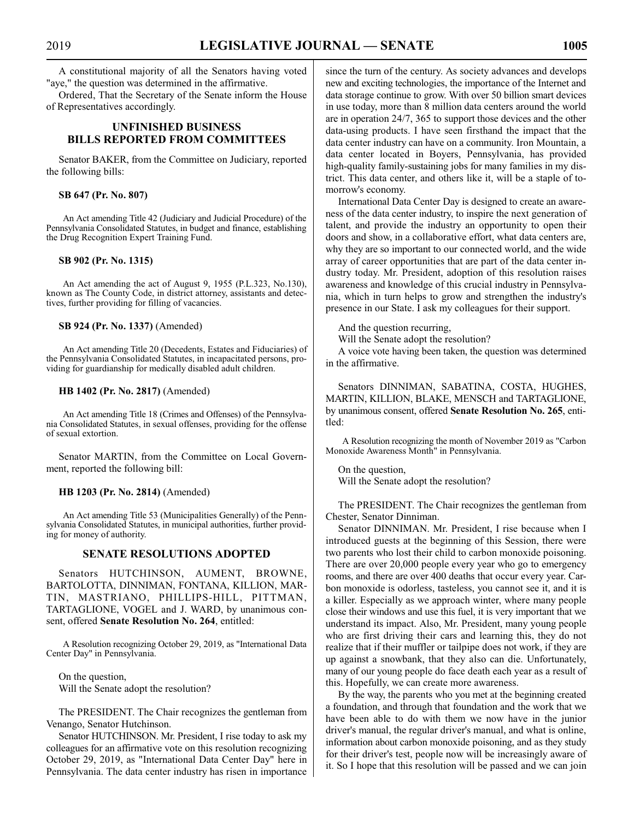A constitutional majority of all the Senators having voted "aye," the question was determined in the affirmative.

Ordered, That the Secretary of the Senate inform the House of Representatives accordingly.

# **UNFINISHED BUSINESS BILLS REPORTED FROM COMMITTEES**

Senator BAKER, from the Committee on Judiciary, reported the following bills:

#### **SB 647 (Pr. No. 807)**

An Act amending Title 42 (Judiciary and Judicial Procedure) of the Pennsylvania Consolidated Statutes, in budget and finance, establishing the Drug Recognition Expert Training Fund.

#### **SB 902 (Pr. No. 1315)**

An Act amending the act of August 9, 1955 (P.L.323, No.130), known as The County Code, in district attorney, assistants and detectives, further providing for filling of vacancies.

**SB 924 (Pr. No. 1337)** (Amended)

An Act amending Title 20 (Decedents, Estates and Fiduciaries) of the Pennsylvania Consolidated Statutes, in incapacitated persons, providing for guardianship for medically disabled adult children.

#### **HB 1402 (Pr. No. 2817)** (Amended)

An Act amending Title 18 (Crimes and Offenses) of the Pennsylvania Consolidated Statutes, in sexual offenses, providing for the offense of sexual extortion.

Senator MARTIN, from the Committee on Local Government, reported the following bill:

#### **HB 1203 (Pr. No. 2814)** (Amended)

An Act amending Title 53 (Municipalities Generally) of the Pennsylvania Consolidated Statutes, in municipal authorities, further providing for money of authority.

#### **SENATE RESOLUTIONS ADOPTED**

Senators HUTCHINSON, AUMENT, BROWNE, BARTOLOTTA, DINNIMAN, FONTANA, KILLION, MAR-TIN, MASTRIANO, PHILLIPS-HILL, PITTMAN, TARTAGLIONE, VOGEL and J. WARD, by unanimous consent, offered **Senate Resolution No. 264**, entitled:

A Resolution recognizing October 29, 2019, as "International Data Center Day" in Pennsylvania.

On the question, Will the Senate adopt the resolution?

The PRESIDENT. The Chair recognizes the gentleman from Venango, Senator Hutchinson.

Senator HUTCHINSON. Mr. President, I rise today to ask my colleagues for an affirmative vote on this resolution recognizing October 29, 2019, as "International Data Center Day" here in Pennsylvania. The data center industry has risen in importance since the turn of the century. As society advances and develops new and exciting technologies, the importance of the Internet and data storage continue to grow. With over 50 billion smart devices in use today, more than 8 million data centers around the world are in operation 24/7, 365 to support those devices and the other data-using products. I have seen firsthand the impact that the data center industry can have on a community. Iron Mountain, a data center located in Boyers, Pennsylvania, has provided high-quality family-sustaining jobs for many families in my district. This data center, and others like it, will be a staple of tomorrow's economy.

International Data Center Day is designed to create an awareness of the data center industry, to inspire the next generation of talent, and provide the industry an opportunity to open their doors and show, in a collaborative effort, what data centers are, why they are so important to our connected world, and the wide array of career opportunities that are part of the data center industry today. Mr. President, adoption of this resolution raises awareness and knowledge of this crucial industry in Pennsylvania, which in turn helps to grow and strengthen the industry's presence in our State. I ask my colleagues for their support.

And the question recurring,

Will the Senate adopt the resolution?

A voice vote having been taken, the question was determined in the affirmative.

Senators DINNIMAN, SABATINA, COSTA, HUGHES, MARTIN, KILLION, BLAKE, MENSCH and TARTAGLIONE, by unanimous consent, offered **Senate Resolution No. 265**, entitled:

A Resolution recognizing the month of November 2019 as "Carbon Monoxide Awareness Month" in Pennsylvania.

On the question, Will the Senate adopt the resolution?

The PRESIDENT. The Chair recognizes the gentleman from Chester, Senator Dinniman.

Senator DINNIMAN. Mr. President, I rise because when I introduced guests at the beginning of this Session, there were two parents who lost their child to carbon monoxide poisoning. There are over 20,000 people every year who go to emergency rooms, and there are over 400 deaths that occur every year. Carbon monoxide is odorless, tasteless, you cannot see it, and it is a killer. Especially as we approach winter, where many people close their windows and use this fuel, it is very important that we understand its impact. Also, Mr. President, many young people who are first driving their cars and learning this, they do not realize that if their muffler or tailpipe does not work, if they are up against a snowbank, that they also can die. Unfortunately, many of our young people do face death each year as a result of this. Hopefully, we can create more awareness.

By the way, the parents who you met at the beginning created a foundation, and through that foundation and the work that we have been able to do with them we now have in the junior driver's manual, the regular driver's manual, and what is online, information about carbon monoxide poisoning, and as they study for their driver's test, people now will be increasingly aware of it. So I hope that this resolution will be passed and we can join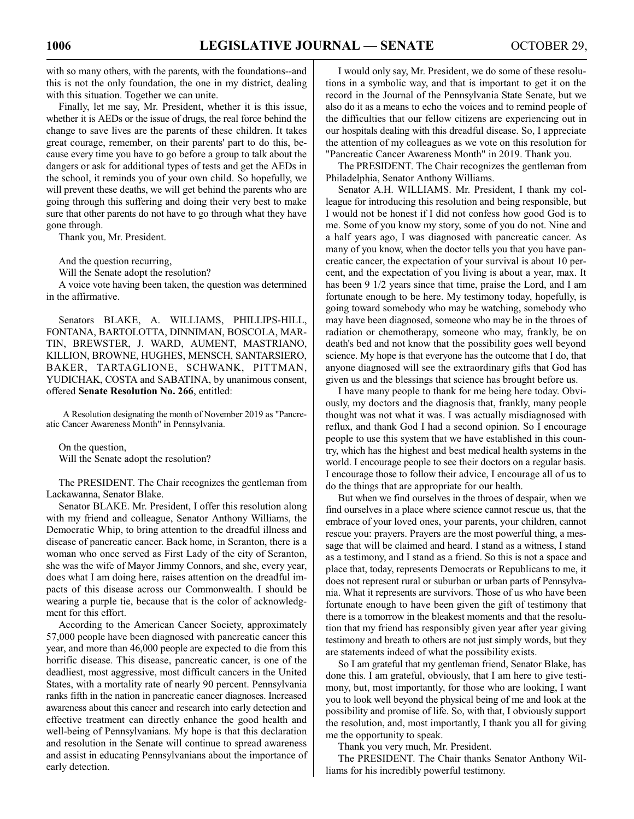with so many others, with the parents, with the foundations--and this is not the only foundation, the one in my district, dealing with this situation. Together we can unite.

Finally, let me say, Mr. President, whether it is this issue, whether it is AEDs or the issue of drugs, the real force behind the change to save lives are the parents of these children. It takes great courage, remember, on their parents' part to do this, because every time you have to go before a group to talk about the dangers or ask for additional types of tests and get the AEDs in the school, it reminds you of your own child. So hopefully, we will prevent these deaths, we will get behind the parents who are going through this suffering and doing their very best to make sure that other parents do not have to go through what they have gone through.

Thank you, Mr. President.

And the question recurring,

Will the Senate adopt the resolution?

A voice vote having been taken, the question was determined in the affirmative.

Senators BLAKE, A. WILLIAMS, PHILLIPS-HILL, FONTANA, BARTOLOTTA, DINNIMAN, BOSCOLA, MAR-TIN, BREWSTER, J. WARD, AUMENT, MASTRIANO, KILLION, BROWNE, HUGHES, MENSCH, SANTARSIERO, BAKER, TARTAGLIONE, SCHWANK, PITTMAN, YUDICHAK, COSTA and SABATINA, by unanimous consent, offered **Senate Resolution No. 266**, entitled:

A Resolution designating the month of November 2019 as "Pancreatic Cancer Awareness Month" in Pennsylvania.

On the question, Will the Senate adopt the resolution?

The PRESIDENT. The Chair recognizes the gentleman from Lackawanna, Senator Blake.

Senator BLAKE. Mr. President, I offer this resolution along with my friend and colleague, Senator Anthony Williams, the Democratic Whip, to bring attention to the dreadful illness and disease of pancreatic cancer. Back home, in Scranton, there is a woman who once served as First Lady of the city of Scranton, she was the wife of Mayor Jimmy Connors, and she, every year, does what I am doing here, raises attention on the dreadful impacts of this disease across our Commonwealth. I should be wearing a purple tie, because that is the color of acknowledgment for this effort.

According to the American Cancer Society, approximately 57,000 people have been diagnosed with pancreatic cancer this year, and more than 46,000 people are expected to die from this horrific disease. This disease, pancreatic cancer, is one of the deadliest, most aggressive, most difficult cancers in the United States, with a mortality rate of nearly 90 percent. Pennsylvania ranks fifth in the nation in pancreatic cancer diagnoses. Increased awareness about this cancer and research into early detection and effective treatment can directly enhance the good health and well-being of Pennsylvanians. My hope is that this declaration and resolution in the Senate will continue to spread awareness and assist in educating Pennsylvanians about the importance of early detection.

I would only say, Mr. President, we do some of these resolutions in a symbolic way, and that is important to get it on the record in the Journal of the Pennsylvania State Senate, but we also do it as a means to echo the voices and to remind people of the difficulties that our fellow citizens are experiencing out in our hospitals dealing with this dreadful disease. So, I appreciate the attention of my colleagues as we vote on this resolution for "Pancreatic Cancer Awareness Month" in 2019. Thank you.

The PRESIDENT. The Chair recognizes the gentleman from Philadelphia, Senator Anthony Williams.

Senator A.H. WILLIAMS. Mr. President, I thank my colleague for introducing this resolution and being responsible, but I would not be honest if I did not confess how good God is to me. Some of you know my story, some of you do not. Nine and a half years ago, I was diagnosed with pancreatic cancer. As many of you know, when the doctor tells you that you have pancreatic cancer, the expectation of your survival is about 10 percent, and the expectation of you living is about a year, max. It has been 9 1/2 years since that time, praise the Lord, and I am fortunate enough to be here. My testimony today, hopefully, is going toward somebody who may be watching, somebody who may have been diagnosed, someone who may be in the throes of radiation or chemotherapy, someone who may, frankly, be on death's bed and not know that the possibility goes well beyond science. My hope is that everyone has the outcome that I do, that anyone diagnosed will see the extraordinary gifts that God has given us and the blessings that science has brought before us.

I have many people to thank for me being here today. Obviously, my doctors and the diagnosis that, frankly, many people thought was not what it was. I was actually misdiagnosed with reflux, and thank God I had a second opinion. So I encourage people to use this system that we have established in this country, which has the highest and best medical health systems in the world. I encourage people to see their doctors on a regular basis. I encourage those to follow their advice, I encourage all of us to do the things that are appropriate for our health.

But when we find ourselves in the throes of despair, when we find ourselves in a place where science cannot rescue us, that the embrace of your loved ones, your parents, your children, cannot rescue you: prayers. Prayers are the most powerful thing, a message that will be claimed and heard. I stand as a witness, I stand as a testimony, and I stand as a friend. So this is not a space and place that, today, represents Democrats or Republicans to me, it does not represent rural or suburban or urban parts of Pennsylvania. What it represents are survivors. Those of us who have been fortunate enough to have been given the gift of testimony that there is a tomorrow in the bleakest moments and that the resolution that my friend has responsibly given year after year giving testimony and breath to others are not just simply words, but they are statements indeed of what the possibility exists.

So I am grateful that my gentleman friend, Senator Blake, has done this. I am grateful, obviously, that I am here to give testimony, but, most importantly, for those who are looking, I want you to look well beyond the physical being of me and look at the possibility and promise of life. So, with that, I obviously support the resolution, and, most importantly, I thank you all for giving me the opportunity to speak.

Thank you very much, Mr. President.

The PRESIDENT. The Chair thanks Senator Anthony Williams for his incredibly powerful testimony.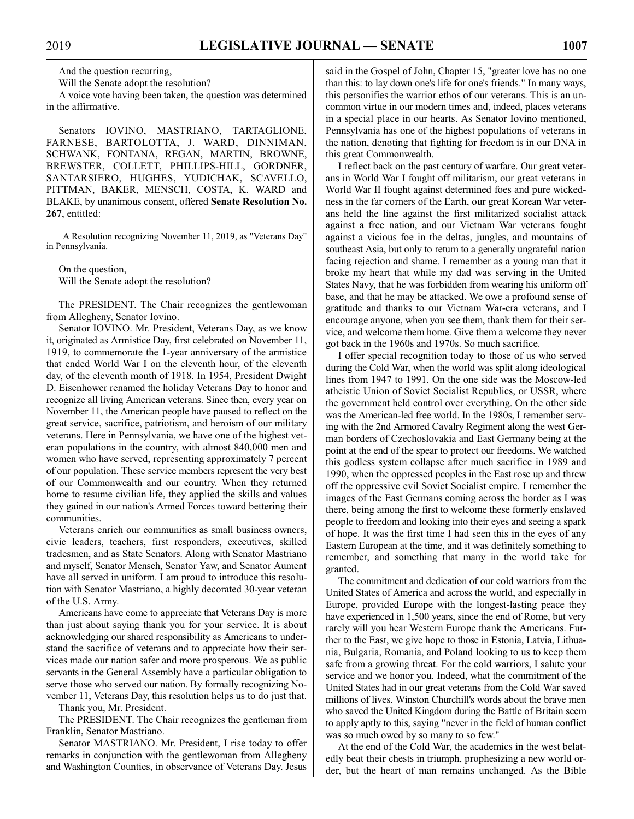And the question recurring,

Will the Senate adopt the resolution?

A voice vote having been taken, the question was determined in the affirmative.

Senators IOVINO, MASTRIANO, TARTAGLIONE, FARNESE, BARTOLOTTA, J. WARD, DINNIMAN, SCHWANK, FONTANA, REGAN, MARTIN, BROWNE, BREWSTER, COLLETT, PHILLIPS-HILL, GORDNER, SANTARSIERO, HUGHES, YUDICHAK, SCAVELLO, PITTMAN, BAKER, MENSCH, COSTA, K. WARD and BLAKE, by unanimous consent, offered **Senate Resolution No. 267**, entitled:

A Resolution recognizing November 11, 2019, as "Veterans Day" in Pennsylvania.

On the question, Will the Senate adopt the resolution?

The PRESIDENT. The Chair recognizes the gentlewoman from Allegheny, Senator Iovino.

Senator IOVINO. Mr. President, Veterans Day, as we know it, originated as Armistice Day, first celebrated on November 11, 1919, to commemorate the 1-year anniversary of the armistice that ended World War I on the eleventh hour, of the eleventh day, of the eleventh month of 1918. In 1954, President Dwight D. Eisenhower renamed the holiday Veterans Day to honor and recognize all living American veterans. Since then, every year on November 11, the American people have paused to reflect on the great service, sacrifice, patriotism, and heroism of our military veterans. Here in Pennsylvania, we have one of the highest veteran populations in the country, with almost 840,000 men and women who have served, representing approximately 7 percent of our population. These service members represent the very best of our Commonwealth and our country. When they returned home to resume civilian life, they applied the skills and values they gained in our nation's Armed Forces toward bettering their communities.

Veterans enrich our communities as small business owners, civic leaders, teachers, first responders, executives, skilled tradesmen, and as State Senators. Along with Senator Mastriano and myself, Senator Mensch, Senator Yaw, and Senator Aument have all served in uniform. I am proud to introduce this resolution with Senator Mastriano, a highly decorated 30-year veteran of the U.S. Army.

Americans have come to appreciate that Veterans Day is more than just about saying thank you for your service. It is about acknowledging our shared responsibility as Americans to understand the sacrifice of veterans and to appreciate how their services made our nation safer and more prosperous. We as public servants in the General Assembly have a particular obligation to serve those who served our nation. By formally recognizing November 11, Veterans Day, this resolution helps us to do just that.

Thank you, Mr. President.

The PRESIDENT. The Chair recognizes the gentleman from Franklin, Senator Mastriano.

Senator MASTRIANO. Mr. President, I rise today to offer remarks in conjunction with the gentlewoman from Allegheny and Washington Counties, in observance of Veterans Day. Jesus said in the Gospel of John, Chapter 15, "greater love has no one than this: to lay down one's life for one's friends." In many ways, this personifies the warrior ethos of our veterans. This is an uncommon virtue in our modern times and, indeed, places veterans in a special place in our hearts. As Senator Iovino mentioned, Pennsylvania has one of the highest populations of veterans in the nation, denoting that fighting for freedom is in our DNA in this great Commonwealth.

I reflect back on the past century of warfare. Our great veterans in World War I fought off militarism, our great veterans in World War II fought against determined foes and pure wickedness in the far corners of the Earth, our great Korean War veterans held the line against the first militarized socialist attack against a free nation, and our Vietnam War veterans fought against a vicious foe in the deltas, jungles, and mountains of southeast Asia, but only to return to a generally ungrateful nation facing rejection and shame. I remember as a young man that it broke my heart that while my dad was serving in the United States Navy, that he was forbidden from wearing his uniform off base, and that he may be attacked. We owe a profound sense of gratitude and thanks to our Vietnam War-era veterans, and I encourage anyone, when you see them, thank them for their service, and welcome them home. Give them a welcome they never got back in the 1960s and 1970s. So much sacrifice.

I offer special recognition today to those of us who served during the Cold War, when the world was split along ideological lines from 1947 to 1991. On the one side was the Moscow-led atheistic Union of Soviet Socialist Republics, or USSR, where the government held control over everything. On the other side was the American-led free world. In the 1980s, I remember serving with the 2nd Armored Cavalry Regiment along the west German borders of Czechoslovakia and East Germany being at the point at the end of the spear to protect our freedoms. We watched this godless system collapse after much sacrifice in 1989 and 1990, when the oppressed peoples in the East rose up and threw off the oppressive evil Soviet Socialist empire. I remember the images of the East Germans coming across the border as I was there, being among the first to welcome these formerly enslaved people to freedom and looking into their eyes and seeing a spark of hope. It was the first time I had seen this in the eyes of any Eastern European at the time, and it was definitely something to remember, and something that many in the world take for granted.

The commitment and dedication of our cold warriors from the United States of America and across the world, and especially in Europe, provided Europe with the longest-lasting peace they have experienced in 1,500 years, since the end of Rome, but very rarely will you hear Western Europe thank the Americans. Further to the East, we give hope to those in Estonia, Latvia, Lithuania, Bulgaria, Romania, and Poland looking to us to keep them safe from a growing threat. For the cold warriors, I salute your service and we honor you. Indeed, what the commitment of the United States had in our great veterans from the Cold War saved millions of lives. Winston Churchill's words about the brave men who saved the United Kingdom during the Battle of Britain seem to apply aptly to this, saying "never in the field of human conflict was so much owed by so many to so few."

At the end of the Cold War, the academics in the west belatedly beat their chests in triumph, prophesizing a new world order, but the heart of man remains unchanged. As the Bible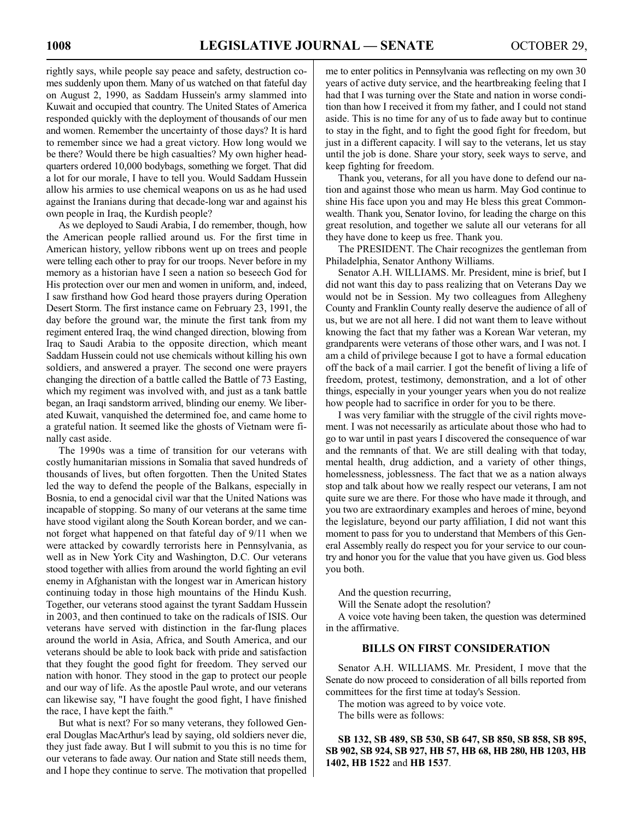rightly says, while people say peace and safety, destruction comes suddenly upon them. Many of us watched on that fateful day on August 2, 1990, as Saddam Hussein's army slammed into Kuwait and occupied that country. The United States of America responded quickly with the deployment of thousands of our men and women. Remember the uncertainty of those days? It is hard to remember since we had a great victory. How long would we be there? Would there be high casualties? My own higher headquarters ordered 10,000 bodybags, something we forget. That did a lot for our morale, I have to tell you. Would Saddam Hussein allow his armies to use chemical weapons on us as he had used against the Iranians during that decade-long war and against his own people in Iraq, the Kurdish people?

As we deployed to Saudi Arabia, I do remember, though, how the American people rallied around us. For the first time in American history, yellow ribbons went up on trees and people were telling each other to pray for our troops. Never before in my memory as a historian have I seen a nation so beseech God for His protection over our men and women in uniform, and, indeed, I saw firsthand how God heard those prayers during Operation Desert Storm. The first instance came on February 23, 1991, the day before the ground war, the minute the first tank from my regiment entered Iraq, the wind changed direction, blowing from Iraq to Saudi Arabia to the opposite direction, which meant Saddam Hussein could not use chemicals without killing his own soldiers, and answered a prayer. The second one were prayers changing the direction of a battle called the Battle of 73 Easting, which my regiment was involved with, and just as a tank battle began, an Iraqi sandstorm arrived, blinding our enemy. We liberated Kuwait, vanquished the determined foe, and came home to a grateful nation. It seemed like the ghosts of Vietnam were finally cast aside.

The 1990s was a time of transition for our veterans with costly humanitarian missions in Somalia that saved hundreds of thousands of lives, but often forgotten. Then the United States led the way to defend the people of the Balkans, especially in Bosnia, to end a genocidal civil war that the United Nations was incapable of stopping. So many of our veterans at the same time have stood vigilant along the South Korean border, and we cannot forget what happened on that fateful day of 9/11 when we were attacked by cowardly terrorists here in Pennsylvania, as well as in New York City and Washington, D.C. Our veterans stood together with allies from around the world fighting an evil enemy in Afghanistan with the longest war in American history continuing today in those high mountains of the Hindu Kush. Together, our veterans stood against the tyrant Saddam Hussein in 2003, and then continued to take on the radicals of ISIS. Our veterans have served with distinction in the far-flung places around the world in Asia, Africa, and South America, and our veterans should be able to look back with pride and satisfaction that they fought the good fight for freedom. They served our nation with honor. They stood in the gap to protect our people and our way of life. As the apostle Paul wrote, and our veterans can likewise say, "I have fought the good fight, I have finished the race, I have kept the faith."

But what is next? For so many veterans, they followed General Douglas MacArthur's lead by saying, old soldiers never die, they just fade away. But I will submit to you this is no time for our veterans to fade away. Our nation and State still needs them, and I hope they continue to serve. The motivation that propelled me to enter politics in Pennsylvania was reflecting on my own 30 years of active duty service, and the heartbreaking feeling that I had that I was turning over the State and nation in worse condition than how I received it from my father, and I could not stand aside. This is no time for any of us to fade away but to continue to stay in the fight, and to fight the good fight for freedom, but just in a different capacity. I will say to the veterans, let us stay until the job is done. Share your story, seek ways to serve, and keep fighting for freedom.

Thank you, veterans, for all you have done to defend our nation and against those who mean us harm. May God continue to shine His face upon you and may He bless this great Commonwealth. Thank you, Senator Iovino, for leading the charge on this great resolution, and together we salute all our veterans for all they have done to keep us free. Thank you.

The PRESIDENT. The Chair recognizes the gentleman from Philadelphia, Senator Anthony Williams.

Senator A.H. WILLIAMS. Mr. President, mine is brief, but I did not want this day to pass realizing that on Veterans Day we would not be in Session. My two colleagues from Allegheny County and Franklin County really deserve the audience of all of us, but we are not all here. I did not want them to leave without knowing the fact that my father was a Korean War veteran, my grandparents were veterans of those other wars, and I was not. I am a child of privilege because I got to have a formal education off the back of a mail carrier. I got the benefit of living a life of freedom, protest, testimony, demonstration, and a lot of other things, especially in your younger years when you do not realize how people had to sacrifice in order for you to be there.

I was very familiar with the struggle of the civil rights movement. I was not necessarily as articulate about those who had to go to war until in past years I discovered the consequence of war and the remnants of that. We are still dealing with that today, mental health, drug addiction, and a variety of other things, homelessness, joblessness. The fact that we as a nation always stop and talk about how we really respect our veterans, I am not quite sure we are there. For those who have made it through, and you two are extraordinary examples and heroes of mine, beyond the legislature, beyond our party affiliation, I did not want this moment to pass for you to understand that Members of this General Assembly really do respect you for your service to our country and honor you for the value that you have given us. God bless you both.

And the question recurring,

Will the Senate adopt the resolution?

A voice vote having been taken, the question was determined in the affirmative.

# **BILLS ON FIRST CONSIDERATION**

Senator A.H. WILLIAMS. Mr. President, I move that the Senate do now proceed to consideration of all bills reported from committees for the first time at today's Session.

The motion was agreed to by voice vote.

The bills were as follows:

**SB 132, SB 489, SB 530, SB 647, SB 850, SB 858, SB 895, SB 902, SB 924, SB 927, HB 57, HB 68, HB 280, HB 1203, HB 1402, HB 1522** and **HB 1537**.